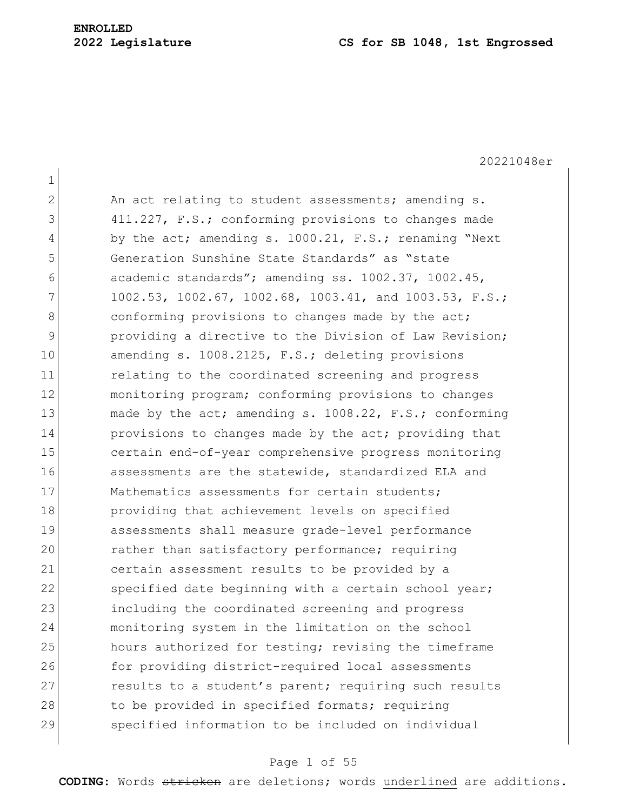1

20221048er 2 An act relating to student assessments; amending s. 3 411.227, F.S.; conforming provisions to changes made 4 by the act; amending s. 1000.21, F.S.; renaming "Next" 5 Generation Sunshine State Standards" as "state 6 academic standards"; amending ss. 1002.37, 1002.45, 7 1002.53, 1002.67, 1002.68, 1003.41, and 1003.53, F.S.; 8 8 8 conforming provisions to changes made by the act; 9 providing a directive to the Division of Law Revision; 10 amending s. 1008.2125, F.S.; deleting provisions 11 11 relating to the coordinated screening and progress 12 monitoring program; conforming provisions to changes 13 made by the act; amending s. 1008.22, F.S.; conforming 14 **provisions to changes made by the act; providing that** 15 certain end-of-year comprehensive progress monitoring 16 assessments are the statewide, standardized ELA and 17 Mathematics assessments for certain students; 18 **providing that achievement levels on specified** 19 assessments shall measure grade-level performance 20 rather than satisfactory performance; requiring 21 certain assessment results to be provided by a 22 specified date beginning with a certain school year; 23 including the coordinated screening and progress 24 monitoring system in the limitation on the school 25 hours authorized for testing; revising the timeframe 26 for providing district-required local assessments 27 results to a student's parent; requiring such results 28 to be provided in specified formats; requiring 29 specified information to be included on individual

## Page 1 of 55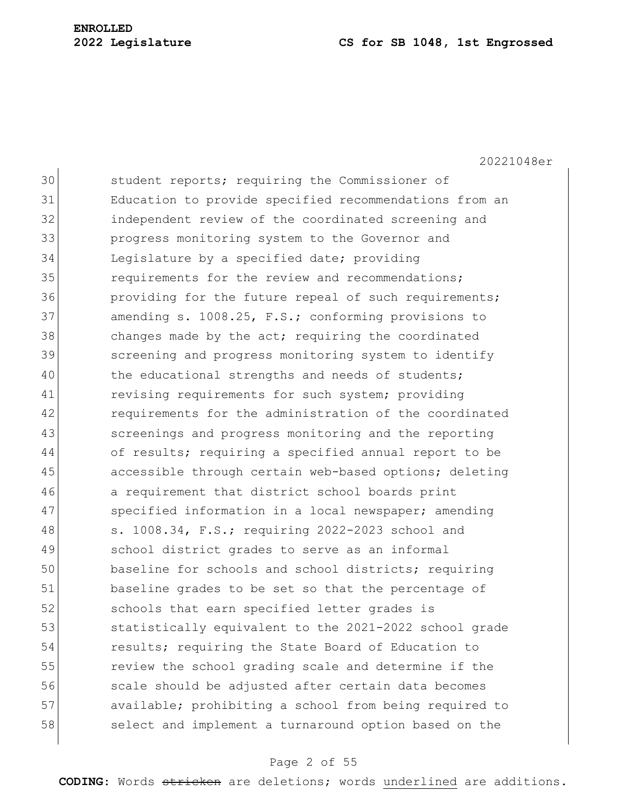#### **2022 Legislature CS for SB 1048, 1st Engrossed**

20221048er

30 student reports; requiring the Commissioner of 31 Education to provide specified recommendations from an 32 independent review of the coordinated screening and 33 progress monitoring system to the Governor and 34 Legislature by a specified date; providing 35 **requirements** for the review and recommendations; 36 **providing for the future repeal of such requirements;** 37 amending s. 1008.25, F.S.; conforming provisions to 38 changes made by the act; requiring the coordinated 39 screening and progress monitoring system to identify 40 the educational strengths and needs of students; 41 revising requirements for such system; providing 42 requirements for the administration of the coordinated 43 Screenings and progress monitoring and the reporting 44 of results; requiring a specified annual report to be 45 accessible through certain web-based options; deleting 46 a requirement that district school boards print 47 Specified information in a local newspaper; amending 48 s. 1008.34, F.S.; requiring 2022-2023 school and 49 school district grades to serve as an informal 50 baseline for schools and school districts; requiring 51 baseline grades to be set so that the percentage of 52 schools that earn specified letter grades is 53 statistically equivalent to the 2021-2022 school grade 54 results; requiring the State Board of Education to 55 **1958** review the school grading scale and determine if the 56 scale should be adjusted after certain data becomes 57 available; prohibiting a school from being required to 58 select and implement a turnaround option based on the

# Page 2 of 55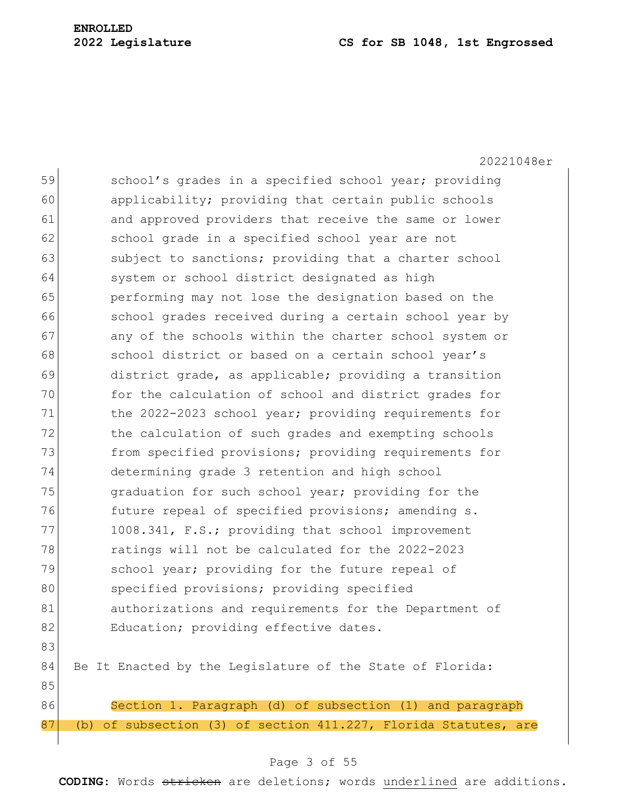# **ENROLLED**

## **2022 Legislature CS for SB 1048, 1st Engrossed**

20221048er 59 school's grades in a specified school year; providing 60 applicability; providing that certain public schools 61 and approved providers that receive the same or lower 62 school grade in a specified school year are not 63 subject to sanctions; providing that a charter school 64 system or school district designated as high 65 performing may not lose the designation based on the 66 school grades received during a certain school year by 67 any of the schools within the charter school system or 68 school district or based on a certain school year's 69 district grade, as applicable; providing a transition 70 for the calculation of school and district grades for 71 the 2022-2023 school year; providing requirements for 72 the calculation of such grades and exempting schools 73 from specified provisions; providing requirements for 74 determining grade 3 retention and high school 75 **paramele 1** graduation for such school year; providing for the 76 **future repeal of specified provisions; amending s.** 77 1008.341, F.S.; providing that school improvement 78 ratings will not be calculated for the 2022-2023 79 School year; providing for the future repeal of 80 specified provisions; providing specified 81 authorizations and requirements for the Department of 82 Education; providing effective dates. 83 84 Be It Enacted by the Legislature of the State of Florida: 85 86 Section 1. Paragraph (d) of subsection (1) and paragraph 87 (b) of subsection (3) of section 411.227, Florida Statutes, are

#### Page 3 of 55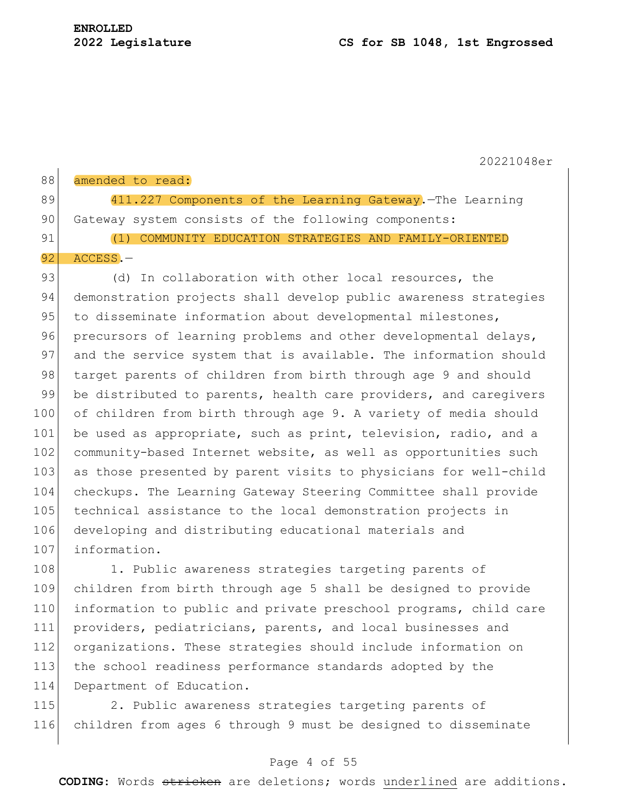$\mathbf{I}$ 

20221048er

| 88 | amended to read:                                         |
|----|----------------------------------------------------------|
| 89 | 411.227 Components of the Learning Gateway. The Learning |
| 90 | Gateway system consists of the following components:     |
| 91 | (1) COMMUNITY EDUCATION STRATEGIES AND FAMILY-ORIENTED   |
|    | $92$ ACCESS. $-$                                         |

93 (d) In collaboration with other local resources, the 94 demonstration projects shall develop public awareness strategies 95 to disseminate information about developmental milestones, 96 precursors of learning problems and other developmental delays, 97 and the service system that is available. The information should 98 target parents of children from birth through age 9 and should 99 be distributed to parents, health care providers, and caregivers 100 of children from birth through age 9. A variety of media should 101 be used as appropriate, such as print, television, radio, and a 102 community-based Internet website, as well as opportunities such 103 as those presented by parent visits to physicians for well-child 104 checkups. The Learning Gateway Steering Committee shall provide 105 technical assistance to the local demonstration projects in 106 developing and distributing educational materials and 107 information.

108 1. Public awareness strategies targeting parents of 109 children from birth through age 5 shall be designed to provide 110 information to public and private preschool programs, child care 111 providers, pediatricians, parents, and local businesses and 112 organizations. These strategies should include information on 113 the school readiness performance standards adopted by the 114 Department of Education.

115 2. Public awareness strategies targeting parents of 116 children from ages 6 through 9 must be designed to disseminate

## Page 4 of 55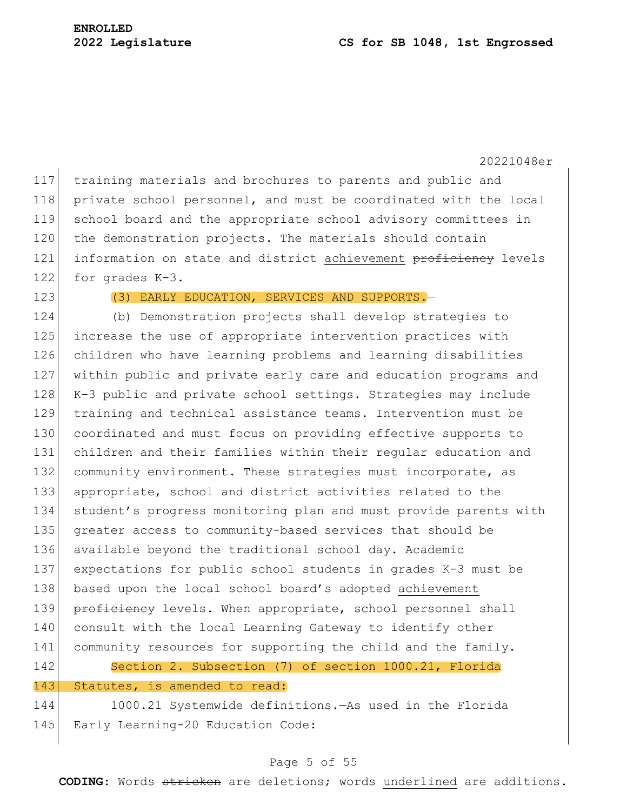117 training materials and brochures to parents and public and 118 private school personnel, and must be coordinated with the local 119 school board and the appropriate school advisory committees in 120 the demonstration projects. The materials should contain 121 information on state and district achievement proficiency levels 122 for grades K-3.

123 (3) EARLY EDUCATION, SERVICES AND SUPPORTS.

124 (b) Demonstration projects shall develop strategies to 125 increase the use of appropriate intervention practices with 126 children who have learning problems and learning disabilities 127 within public and private early care and education programs and 128 K-3 public and private school settings. Strategies may include 129 training and technical assistance teams. Intervention must be 130 coordinated and must focus on providing effective supports to 131 children and their families within their regular education and 132 community environment. These strategies must incorporate, as 133 appropriate, school and district activities related to the 134 student's progress monitoring plan and must provide parents with 135 greater access to community-based services that should be 136 available beyond the traditional school day. Academic 137 expectations for public school students in grades K-3 must be 138 based upon the local school board's adopted achievement 139 proficiency levels. When appropriate, school personnel shall 140 consult with the local Learning Gateway to identify other 141 community resources for supporting the child and the family. 142 Section 2. Subsection (7) of section 1000.21, Florida 143 Statutes, is amended to read: 144 1000.21 Systemwide definitions.—As used in the Florida

145 Early Learning-20 Education Code:

# Page 5 of 55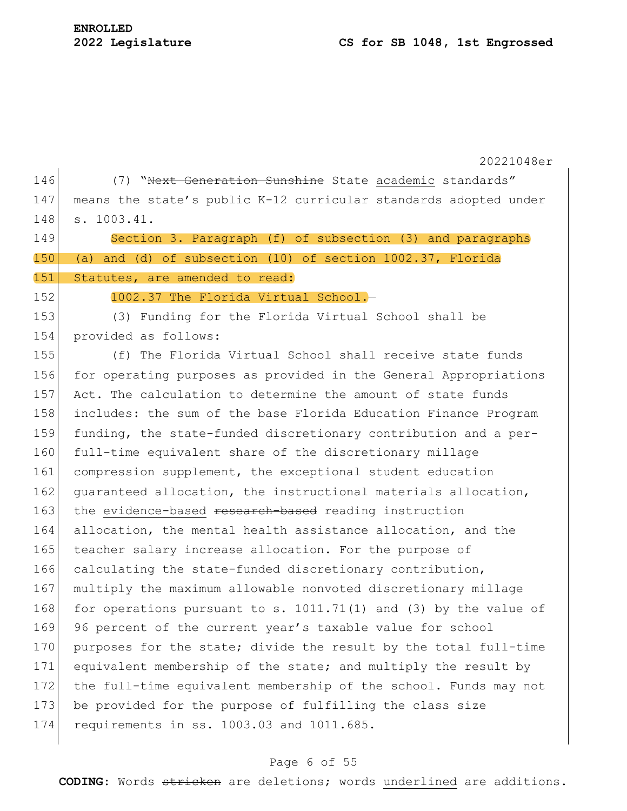| 146 | (7) "Hext Generation Sunshine State academic standards"          |  |  |  |  |  |  |
|-----|------------------------------------------------------------------|--|--|--|--|--|--|
| 147 | means the state's public K-12 curricular standards adopted under |  |  |  |  |  |  |
| 148 | s. 1003.41.                                                      |  |  |  |  |  |  |
| 149 | Section 3. Paragraph (f) of subsection (3) and paragraphs        |  |  |  |  |  |  |
| 150 | and (d) of subsection (10) of section 1002.37, Florida<br>(a)    |  |  |  |  |  |  |
| 151 | Statutes, are amended to read:                                   |  |  |  |  |  |  |
| 152 | 1002.37 The Florida Virtual School.-                             |  |  |  |  |  |  |
| 153 | (3) Funding for the Florida Virtual School shall be              |  |  |  |  |  |  |
| 154 | provided as follows:                                             |  |  |  |  |  |  |
| 155 | (f) The Florida Virtual School shall receive state funds         |  |  |  |  |  |  |
| 156 | for operating purposes as provided in the General Appropriations |  |  |  |  |  |  |
| 157 | Act. The calculation to determine the amount of state funds      |  |  |  |  |  |  |
| 158 | includes: the sum of the base Florida Education Finance Program  |  |  |  |  |  |  |
| 159 | funding, the state-funded discretionary contribution and a per-  |  |  |  |  |  |  |
| 160 | full-time equivalent share of the discretionary millage          |  |  |  |  |  |  |
| 161 | compression supplement, the exceptional student education        |  |  |  |  |  |  |
| 162 | quaranteed allocation, the instructional materials allocation,   |  |  |  |  |  |  |
| 163 | the evidence-based research-based reading instruction            |  |  |  |  |  |  |
| 164 | allocation, the mental health assistance allocation, and the     |  |  |  |  |  |  |
| 165 | teacher salary increase allocation. For the purpose of           |  |  |  |  |  |  |
| 166 | calculating the state-funded discretionary contribution,         |  |  |  |  |  |  |
| 167 | multiply the maximum allowable nonvoted discretionary millage    |  |  |  |  |  |  |
| 168 | for operations pursuant to s. 1011.71(1) and (3) by the value of |  |  |  |  |  |  |
| 169 | 96 percent of the current year's taxable value for school        |  |  |  |  |  |  |
| 170 | purposes for the state; divide the result by the total full-time |  |  |  |  |  |  |
| 171 | equivalent membership of the state; and multiply the result by   |  |  |  |  |  |  |
| 172 | the full-time equivalent membership of the school. Funds may not |  |  |  |  |  |  |
| 173 | be provided for the purpose of fulfilling the class size         |  |  |  |  |  |  |
| 174 | requirements in ss. 1003.03 and 1011.685.                        |  |  |  |  |  |  |
|     |                                                                  |  |  |  |  |  |  |

# Page 6 of 55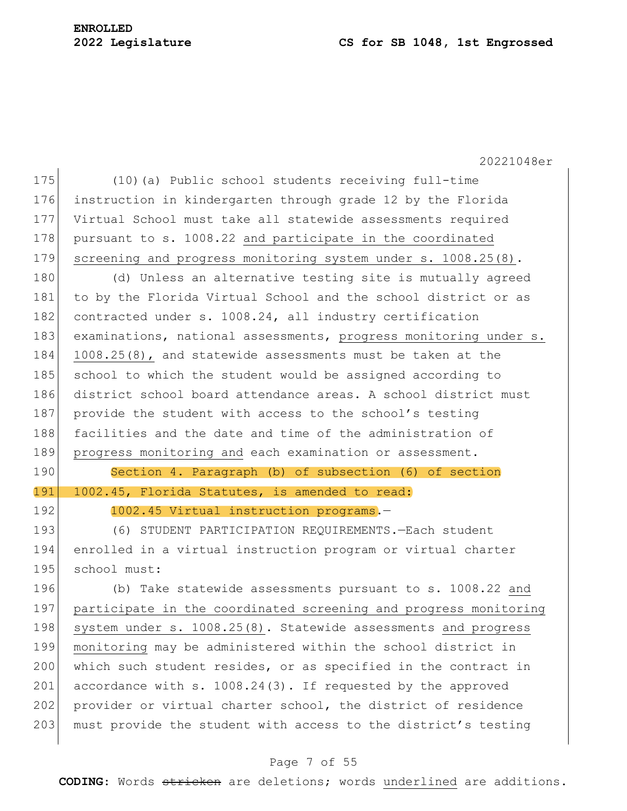# **ENROLLED**

# **2022 Legislature CS for SB 1048, 1st Engrossed**

20221048er 175 (10)(a) Public school students receiving full-time 176 instruction in kindergarten through grade 12 by the Florida 177 Virtual School must take all statewide assessments required 178 pursuant to s. 1008.22 and participate in the coordinated 179 screening and progress monitoring system under s. 1008.25(8). 180 (d) Unless an alternative testing site is mutually agreed 181 to by the Florida Virtual School and the school district or as 182 contracted under s. 1008.24, all industry certification 183 examinations, national assessments, progress monitoring under s. 184 1008.25(8), and statewide assessments must be taken at the 185 school to which the student would be assigned according to 186 district school board attendance areas. A school district must 187 provide the student with access to the school's testing 188 facilities and the date and time of the administration of 189 progress monitoring and each examination or assessment. 190 Section 4. Paragraph (b) of subsection (6) of section 191 1002.45, Florida Statutes, is amended to read: 192 1002.45 Virtual instruction programs. 193 (6) STUDENT PARTICIPATION REQUIREMENTS.—Each student 194 enrolled in a virtual instruction program or virtual charter 195 school must: 196 (b) Take statewide assessments pursuant to s. 1008.22 and 197 participate in the coordinated screening and progress monitoring 198 system under s. 1008.25(8). Statewide assessments and progress 199 monitoring may be administered within the school district in 200 which such student resides, or as specified in the contract in 201 accordance with s. 1008.24(3). If requested by the approved 202 provider or virtual charter school, the district of residence 203 must provide the student with access to the district's testing

#### Page 7 of 55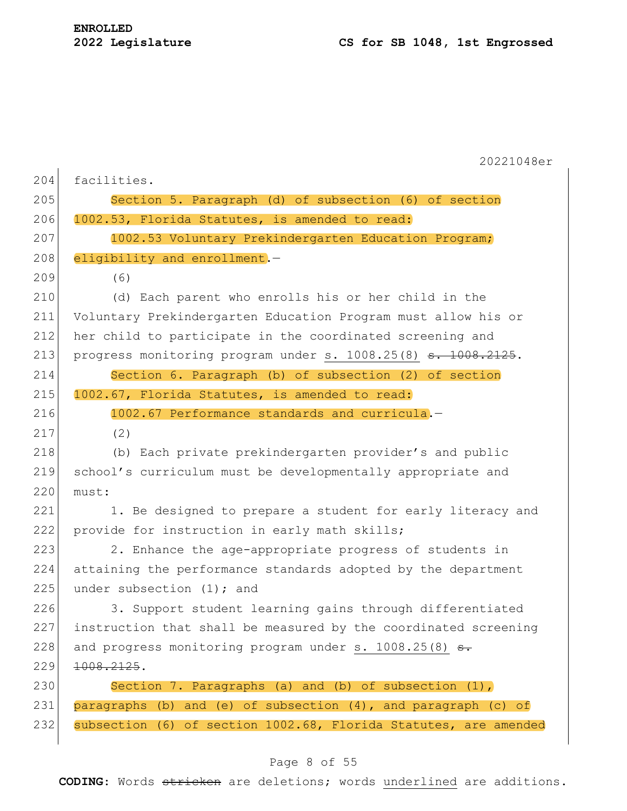|     | 20221048er                                                                |  |  |  |  |  |
|-----|---------------------------------------------------------------------------|--|--|--|--|--|
| 204 | facilities.                                                               |  |  |  |  |  |
| 205 | Section 5. Paragraph (d) of subsection (6) of section                     |  |  |  |  |  |
| 206 | 1002.53, Florida Statutes, is amended to read:                            |  |  |  |  |  |
| 207 | 1002.53 Voluntary Prekindergarten Education Program;                      |  |  |  |  |  |
| 208 | eligibility and enrollment.-                                              |  |  |  |  |  |
| 209 | (6)                                                                       |  |  |  |  |  |
| 210 | (d) Each parent who enrolls his or her child in the                       |  |  |  |  |  |
| 211 | Voluntary Prekindergarten Education Program must allow his or             |  |  |  |  |  |
| 212 | her child to participate in the coordinated screening and                 |  |  |  |  |  |
| 213 | progress monitoring program under s. 1008.25(8) <del>s. 1008.2125</del> . |  |  |  |  |  |
| 214 | Section 6. Paragraph (b) of subsection (2) of section                     |  |  |  |  |  |
| 215 | 1002.67, Florida Statutes, is amended to read:                            |  |  |  |  |  |
| 216 | 1002.67 Performance standards and curricula.-                             |  |  |  |  |  |
| 217 | (2)                                                                       |  |  |  |  |  |
| 218 | (b) Each private prekindergarten provider's and public                    |  |  |  |  |  |
| 219 | school's curriculum must be developmentally appropriate and               |  |  |  |  |  |
| 220 | must:                                                                     |  |  |  |  |  |
| 221 | 1. Be designed to prepare a student for early literacy and                |  |  |  |  |  |
| 222 | provide for instruction in early math skills;                             |  |  |  |  |  |
| 223 | 2. Enhance the age-appropriate progress of students in                    |  |  |  |  |  |
| 224 | attaining the performance standards adopted by the department             |  |  |  |  |  |
| 225 | under subsection (1); and                                                 |  |  |  |  |  |
| 226 | 3. Support student learning gains through differentiated                  |  |  |  |  |  |
| 227 | instruction that shall be measured by the coordinated screening           |  |  |  |  |  |
| 228 | and progress monitoring program under s. 1008.25(8) s.                    |  |  |  |  |  |
| 229 | 1008.2125.                                                                |  |  |  |  |  |
| 230 | Section 7. Paragraphs (a) and (b) of subsection $(1)$ ,                   |  |  |  |  |  |
| 231 | paragraphs (b) and (e) of subsection (4), and paragraph (c) of            |  |  |  |  |  |
| 232 | subsection (6) of section 1002.68, Florida Statutes, are amended          |  |  |  |  |  |

# Page 8 of 55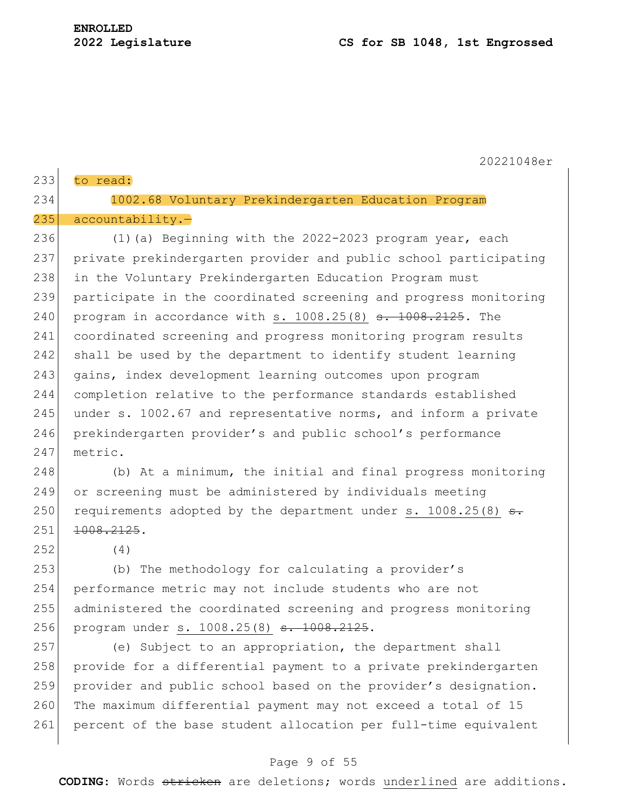| 233 | to read:                                                                 |  |  |  |  |  |
|-----|--------------------------------------------------------------------------|--|--|--|--|--|
|     |                                                                          |  |  |  |  |  |
| 234 | 1002.68 Voluntary Prekindergarten Education Program                      |  |  |  |  |  |
| 235 | $accountability. -$                                                      |  |  |  |  |  |
| 236 | (1) (a) Beginning with the 2022-2023 program year, each                  |  |  |  |  |  |
| 237 | private prekindergarten provider and public school participating         |  |  |  |  |  |
| 238 | in the Voluntary Prekindergarten Education Program must                  |  |  |  |  |  |
| 239 | participate in the coordinated screening and progress monitoring         |  |  |  |  |  |
| 240 | program in accordance with s. $1008.25(8)$ s. $1008.2125$ . The          |  |  |  |  |  |
| 241 | coordinated screening and progress monitoring program results            |  |  |  |  |  |
| 242 | shall be used by the department to identify student learning             |  |  |  |  |  |
| 243 | gains, index development learning outcomes upon program                  |  |  |  |  |  |
| 244 | completion relative to the performance standards established             |  |  |  |  |  |
| 245 | under s. 1002.67 and representative norms, and inform a private          |  |  |  |  |  |
| 246 | prekindergarten provider's and public school's performance               |  |  |  |  |  |
| 247 | metric.                                                                  |  |  |  |  |  |
| 248 | (b) At a minimum, the initial and final progress monitoring              |  |  |  |  |  |
| 249 | or screening must be administered by individuals meeting                 |  |  |  |  |  |
| 250 | requirements adopted by the department under s. 1008.25(8) <del>s.</del> |  |  |  |  |  |
| 251 | 1008.2125.                                                               |  |  |  |  |  |
| 252 | (4)                                                                      |  |  |  |  |  |
| 253 | (b) The methodology for calculating a provider's                         |  |  |  |  |  |
| 254 | performance metric may not include students who are not                  |  |  |  |  |  |
| 255 | administered the coordinated screening and progress monitoring           |  |  |  |  |  |
| 256 | program under s. 1008.25(8) s. 1008.2125.                                |  |  |  |  |  |
| 257 | (e) Subject to an appropriation, the department shall                    |  |  |  |  |  |
| 258 | provide for a differential payment to a private prekindergarten          |  |  |  |  |  |
| 259 | provider and public school based on the provider's designation.          |  |  |  |  |  |
| 260 | The maximum differential payment may not exceed a total of 15            |  |  |  |  |  |
| 261 | percent of the base student allocation per full-time equivalent          |  |  |  |  |  |

# Page 9 of 55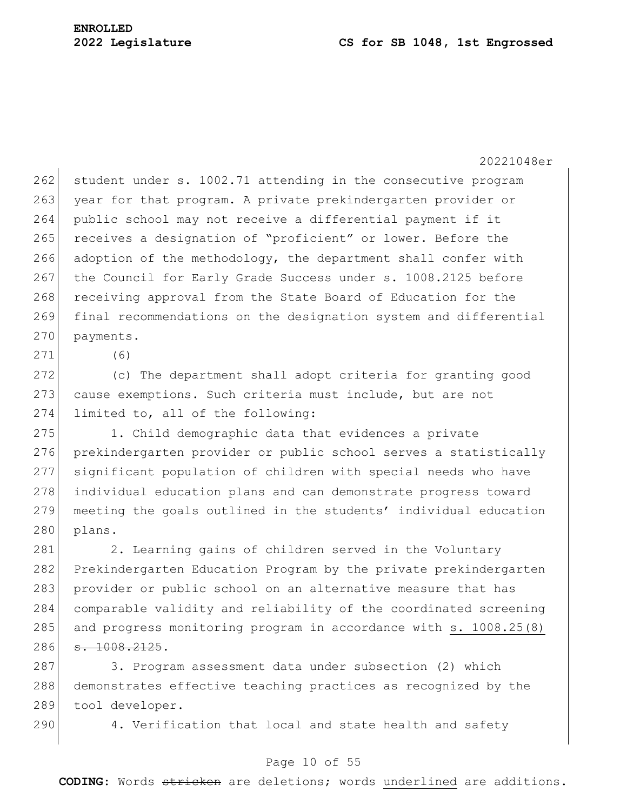#### **2022 Legislature CS for SB 1048, 1st Engrossed**

20221048er

 $262$  student under s. 1002.71 attending in the consecutive program 263 year for that program. A private prekindergarten provider or 264 public school may not receive a differential payment if it 265 receives a designation of "proficient" or lower. Before the 266 adoption of the methodology, the department shall confer with 267 the Council for Early Grade Success under s. 1008.2125 before 268 receiving approval from the State Board of Education for the 269 final recommendations on the designation system and differential 270 payments.

271 (6)

272 (c) The department shall adopt criteria for granting good 273 cause exemptions. Such criteria must include, but are not 274 limited to, all of the following:

275 1. Child demographic data that evidences a private 276 prekindergarten provider or public school serves a statistically 277 significant population of children with special needs who have 278 individual education plans and can demonstrate progress toward 279 meeting the goals outlined in the students' individual education  $280$  plans.

281 2. Learning gains of children served in the Voluntary Prekindergarten Education Program by the private prekindergarten provider or public school on an alternative measure that has comparable validity and reliability of the coordinated screening 285 and progress monitoring program in accordance with s. 1008.25(8)  $\overline{3, 1008, 2125}$ .

287 3. Program assessment data under subsection (2) which 288 demonstrates effective teaching practices as recognized by the 289 tool developer.

290 4. Verification that local and state health and safety

## Page 10 of 55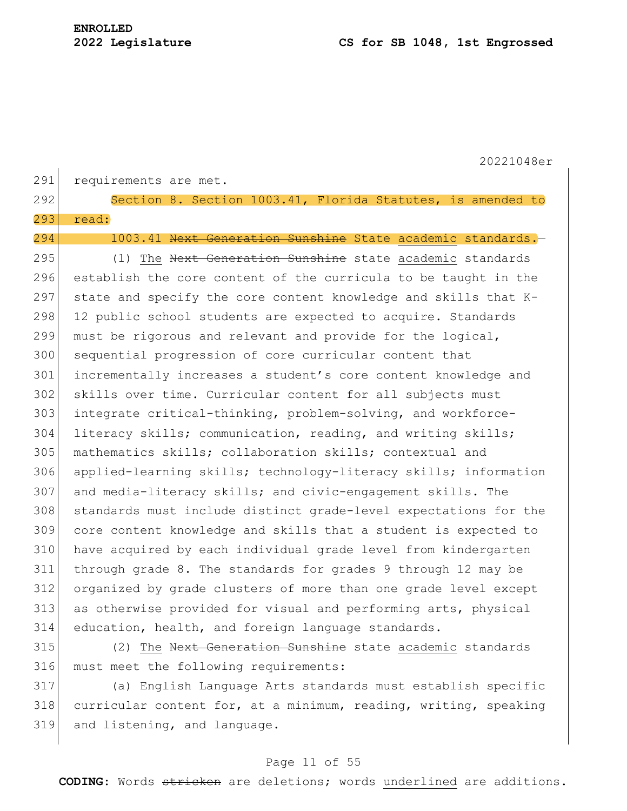|     | 20221048er                                                       |  |  |  |  |  |
|-----|------------------------------------------------------------------|--|--|--|--|--|
| 291 | requirements are met.                                            |  |  |  |  |  |
| 292 | Section 8. Section 1003.41, Florida Statutes, is amended to      |  |  |  |  |  |
| 293 | read:                                                            |  |  |  |  |  |
| 294 | 1003.41 Next Generation Sunshine State academic standards. -     |  |  |  |  |  |
| 295 | (1) The Next Generation Sunshine state academic standards        |  |  |  |  |  |
| 296 | establish the core content of the curricula to be taught in the  |  |  |  |  |  |
| 297 | state and specify the core content knowledge and skills that K-  |  |  |  |  |  |
| 298 | 12 public school students are expected to acquire. Standards     |  |  |  |  |  |
| 299 | must be rigorous and relevant and provide for the logical,       |  |  |  |  |  |
| 300 | sequential progression of core curricular content that           |  |  |  |  |  |
| 301 | incrementally increases a student's core content knowledge and   |  |  |  |  |  |
| 302 | skills over time. Curricular content for all subjects must       |  |  |  |  |  |
| 303 | integrate critical-thinking, problem-solving, and workforce-     |  |  |  |  |  |
| 304 | literacy skills; communication, reading, and writing skills;     |  |  |  |  |  |
| 305 | mathematics skills; collaboration skills; contextual and         |  |  |  |  |  |
| 306 | applied-learning skills; technology-literacy skills; information |  |  |  |  |  |
| 307 | and media-literacy skills; and civic-engagement skills. The      |  |  |  |  |  |
| 308 | standards must include distinct grade-level expectations for the |  |  |  |  |  |
| 309 | core content knowledge and skills that a student is expected to  |  |  |  |  |  |
| 310 | have acquired by each individual grade level from kindergarten   |  |  |  |  |  |
| 311 | through grade 8. The standards for grades 9 through 12 may be    |  |  |  |  |  |
| 312 | organized by grade clusters of more than one grade level except  |  |  |  |  |  |
| 313 | as otherwise provided for visual and performing arts, physical   |  |  |  |  |  |
| 314 | education, health, and foreign language standards.               |  |  |  |  |  |
| 315 | (2) The Next Generation Sunshine state academic standards        |  |  |  |  |  |
| 316 | must meet the following requirements:                            |  |  |  |  |  |
| 317 | (a) English Language Arts standards must establish specific      |  |  |  |  |  |

318 curricular content for, at a minimum, reading, writing, speaking 319 and listening, and language.

# Page 11 of 55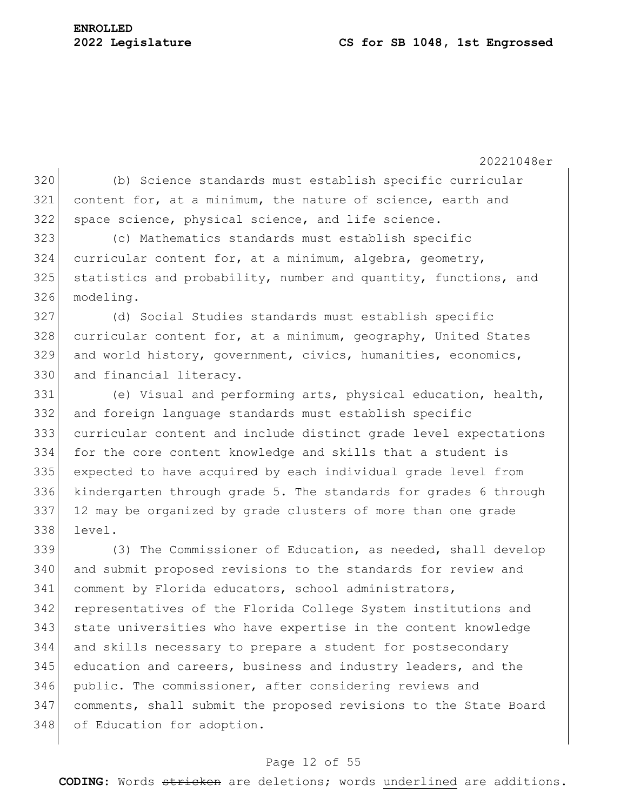20221048er (b) Science standards must establish specific curricular content for, at a minimum, the nature of science, earth and 322 space science, physical science, and life science. (c) Mathematics standards must establish specific curricular content for, at a minimum, algebra, geometry, 325 statistics and probability, number and quantity, functions, and modeling. (d) Social Studies standards must establish specific 328 curricular content for, at a minimum, geography, United States and world history, government, civics, humanities, economics, 330 and financial literacy. (e) Visual and performing arts, physical education, health, and foreign language standards must establish specific curricular content and include distinct grade level expectations for the core content knowledge and skills that a student is expected to have acquired by each individual grade level from kindergarten through grade 5. The standards for grades 6 through 12 may be organized by grade clusters of more than one grade level. (3) The Commissioner of Education, as needed, shall develop and submit proposed revisions to the standards for review and comment by Florida educators, school administrators, representatives of the Florida College System institutions and state universities who have expertise in the content knowledge and skills necessary to prepare a student for postsecondary education and careers, business and industry leaders, and the public. The commissioner, after considering reviews and comments, shall submit the proposed revisions to the State Board 348 of Education for adoption.

#### Page 12 of 55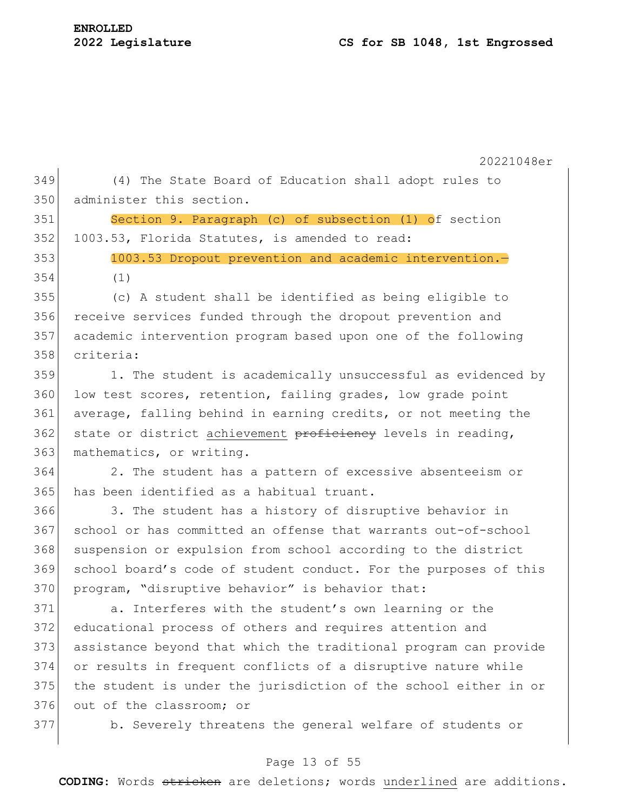| 349 | (4) The State Board of Education shall adopt rules to            |  |  |  |  |  |  |
|-----|------------------------------------------------------------------|--|--|--|--|--|--|
| 350 | administer this section.                                         |  |  |  |  |  |  |
| 351 | Section 9. Paragraph (c) of subsection (1) of section            |  |  |  |  |  |  |
| 352 | 1003.53, Florida Statutes, is amended to read:                   |  |  |  |  |  |  |
| 353 | 1003.53 Dropout prevention and academic intervention.            |  |  |  |  |  |  |
| 354 | (1)                                                              |  |  |  |  |  |  |
| 355 | (c) A student shall be identified as being eligible to           |  |  |  |  |  |  |
| 356 | receive services funded through the dropout prevention and       |  |  |  |  |  |  |
| 357 | academic intervention program based upon one of the following    |  |  |  |  |  |  |
| 358 | criteria:                                                        |  |  |  |  |  |  |
| 359 | 1. The student is academically unsuccessful as evidenced by      |  |  |  |  |  |  |
| 360 | low test scores, retention, failing grades, low grade point      |  |  |  |  |  |  |
| 361 | average, falling behind in earning credits, or not meeting the   |  |  |  |  |  |  |
| 362 | state or district achievement proficiency levels in reading,     |  |  |  |  |  |  |
| 363 | mathematics, or writing.                                         |  |  |  |  |  |  |
| 364 | 2. The student has a pattern of excessive absenteeism or         |  |  |  |  |  |  |
| 365 | has been identified as a habitual truant.                        |  |  |  |  |  |  |
| 366 | 3. The student has a history of disruptive behavior in           |  |  |  |  |  |  |
| 367 | school or has committed an offense that warrants out-of-school   |  |  |  |  |  |  |
| 368 | suspension or expulsion from school according to the district    |  |  |  |  |  |  |
| 369 | school board's code of student conduct. For the purposes of this |  |  |  |  |  |  |
| 370 | program, "disruptive behavior" is behavior that:                 |  |  |  |  |  |  |
| 371 | a. Interferes with the student's own learning or the             |  |  |  |  |  |  |
| 372 | educational process of others and requires attention and         |  |  |  |  |  |  |
| 373 | assistance beyond that which the traditional program can provide |  |  |  |  |  |  |
| 374 | or results in frequent conflicts of a disruptive nature while    |  |  |  |  |  |  |
| 375 | the student is under the jurisdiction of the school either in or |  |  |  |  |  |  |
| 376 | out of the classroom; or                                         |  |  |  |  |  |  |
| 377 | b. Severely threatens the general welfare of students or         |  |  |  |  |  |  |
|     |                                                                  |  |  |  |  |  |  |
|     |                                                                  |  |  |  |  |  |  |

# Page 13 of 55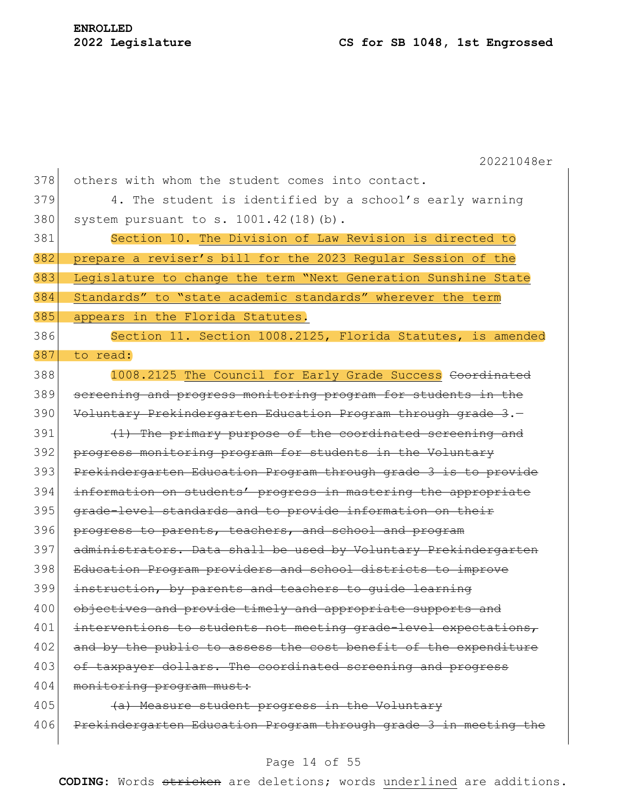$\overline{\phantom{a}}$ 

|     | 20221048er                                                       |  |  |  |  |  |
|-----|------------------------------------------------------------------|--|--|--|--|--|
| 378 | others with whom the student comes into contact.                 |  |  |  |  |  |
| 379 | 4. The student is identified by a school's early warning         |  |  |  |  |  |
| 380 | system pursuant to s. $1001.42(18)(b)$ .                         |  |  |  |  |  |
| 381 | Section 10. The Division of Law Revision is directed to          |  |  |  |  |  |
| 382 | prepare a reviser's bill for the 2023 Regular Session of the     |  |  |  |  |  |
| 383 | Legislature to change the term "Next Generation Sunshine State   |  |  |  |  |  |
| 384 | Standards" to "state academic standards" wherever the term       |  |  |  |  |  |
| 385 | appears in the Florida Statutes.                                 |  |  |  |  |  |
| 386 | Section 11. Section 1008.2125, Florida Statutes, is amended      |  |  |  |  |  |
| 387 | to read:                                                         |  |  |  |  |  |
| 388 | 1008.2125 The Council for Early Grade Success Coordinated        |  |  |  |  |  |
| 389 | screening and progress monitoring program for students in the    |  |  |  |  |  |
| 390 | Voluntary Prekindergarten Education Program through grade 3.-    |  |  |  |  |  |
| 391 | (1) The primary purpose of the coordinated screening and         |  |  |  |  |  |
| 392 | progress monitoring program for students in the Voluntary        |  |  |  |  |  |
| 393 | Prekindergarten Education Program through grade 3 is to provide  |  |  |  |  |  |
| 394 | information on students' progress in mastering the appropriate   |  |  |  |  |  |
| 395 | grade-level standards and to provide information on their        |  |  |  |  |  |
| 396 | progress to parents, teachers, and school and program            |  |  |  |  |  |
| 397 | administrators. Data shall be used by Voluntary Prekindergarten  |  |  |  |  |  |
| 398 | Education Program providers and school districts to improve      |  |  |  |  |  |
| 399 | instruction, by parents and teachers to quide learning           |  |  |  |  |  |
| 400 | objectives and provide timely and appropriate supports and       |  |  |  |  |  |
| 401 | interventions to students not meeting grade-level expectations,  |  |  |  |  |  |
| 402 | and by the public to assess the cost benefit of the expenditure  |  |  |  |  |  |
| 403 | of taxpayer dollars. The coordinated screening and progress      |  |  |  |  |  |
| 404 | monitoring program must:                                         |  |  |  |  |  |
| 405 | (a) Measure student progress in the Voluntary                    |  |  |  |  |  |
| 406 | Prekindergarten Education Program through grade 3 in meeting the |  |  |  |  |  |

# Page 14 of 55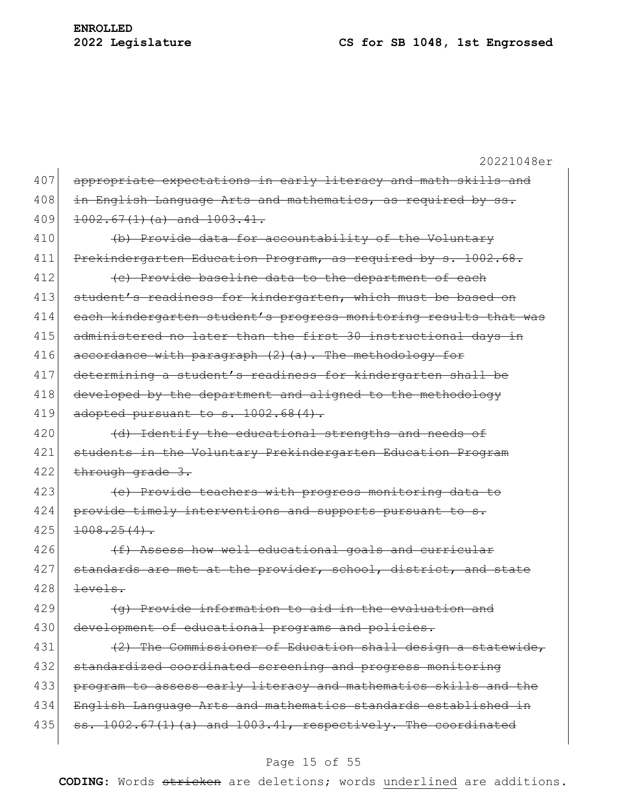# **2022 Legislature CS for SB 1048, 1st Engrossed**

|     | 20221048er                                                        |  |  |  |  |  |
|-----|-------------------------------------------------------------------|--|--|--|--|--|
| 407 | appropriate expectations in early literacy and math skills and    |  |  |  |  |  |
| 408 | in English Language Arts and mathematics, as required by ss.      |  |  |  |  |  |
| 409 | $1002.67(1)(a)$ and $1003.41$ .                                   |  |  |  |  |  |
| 410 | (b) Provide data for accountability of the Voluntary              |  |  |  |  |  |
| 411 | Prekindergarten Education Program, as required by s. 1002.68.     |  |  |  |  |  |
| 412 | (c) Provide baseline data to the department of each               |  |  |  |  |  |
| 413 | student's readiness for kindergarten, which must be based on      |  |  |  |  |  |
| 414 | each kindergarten student's progress monitoring results that was  |  |  |  |  |  |
| 415 | administered no later than the first 30 instructional days in     |  |  |  |  |  |
| 416 | accordance with paragraph (2) (a). The methodology for            |  |  |  |  |  |
| 417 | determining a student's readiness for kindergarten shall be       |  |  |  |  |  |
| 418 | developed by the department and aligned to the methodology        |  |  |  |  |  |
| 419 | adopted pursuant to s. 1002.68(4).                                |  |  |  |  |  |
| 420 | (d) Identify the educational strengths and needs of               |  |  |  |  |  |
| 421 | students in the Voluntary Prekindergarten Education Program       |  |  |  |  |  |
| 422 | through grade 3.                                                  |  |  |  |  |  |
| 423 | (e) Provide teachers with progress monitoring data to             |  |  |  |  |  |
| 424 | provide timely interventions and supports pursuant to s.          |  |  |  |  |  |
| 425 | $1008.25(4)$ .                                                    |  |  |  |  |  |
| 426 | (f) Assess how well educational goals and curricular              |  |  |  |  |  |
| 427 | standards are met at the provider, school, district, and state    |  |  |  |  |  |
| 428 | levels.                                                           |  |  |  |  |  |
| 429 | (q) Provide information to aid in the evaluation and              |  |  |  |  |  |
| 430 | development of educational programs and policies.                 |  |  |  |  |  |
| 431 | (2) The Commissioner of Education shall design a statewide,       |  |  |  |  |  |
| 432 | standardized coordinated screening and progress monitoring        |  |  |  |  |  |
| 433 | program to assess early literacy and mathematics skills and the   |  |  |  |  |  |
| 434 | English Language Arts and mathematics standards established in    |  |  |  |  |  |
| 435 | $s. 1002.67(1)$ (a) and $1003.41$ , respectively. The coordinated |  |  |  |  |  |
|     |                                                                   |  |  |  |  |  |

# Page 15 of 55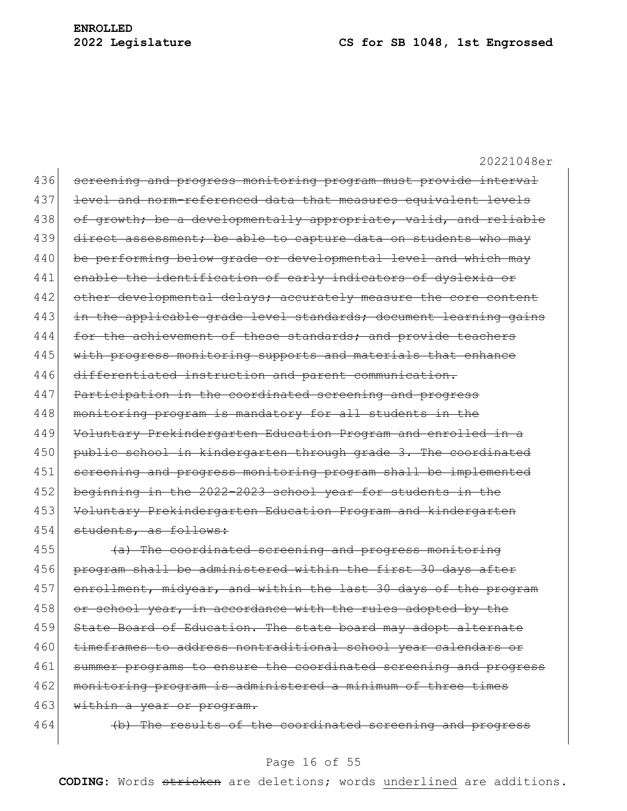436 screening and progress monitoring program must provide interval 437 level and norm-referenced data that measures equivalent levels 438 of growth; be a developmentally appropriate, valid, and reliable 439 direct assessment; be able to capture data on students who may 440 be performing below grade or developmental level and which may 441 enable the identification of early indicators of dyslexia or 442 other developmental delays; accurately measure the core content 443 in the applicable grade level standards; document learning gains 444 for the achievement of these standards; and provide teachers 445 with progress monitoring supports and materials that enhance 446 differentiated instruction and parent communication. 447 Participation in the coordinated screening and progress 448 monitoring program is mandatory for all students in the 449 Voluntary Prekindergarten Education Program and enrolled in a 450 public school in kindergarten through grade 3. The coordinated 451 screening and progress monitoring program shall be implemented 452 beginning in the 2022-2023 school year for students in the 453 Voluntary Prekindergarten Education Program and kindergarten 454 students, as follows:

455 (a) The coordinated screening and progress monitoring 456 program shall be administered within the first 30 days after 457 enrollment, midyear, and within the last 30 days of the program 458  $\sigma$  or school year, in accordance with the rules adopted by the 459 State Board of Education. The state board may adopt alternate 460 timeframes to address nontraditional school year calendars or 461 summer programs to ensure the coordinated screening and progress 462 monitoring program is administered a minimum of three times 463 within a year or program.

464 (b) The results of the coordinated screening and progress

#### Page 16 of 55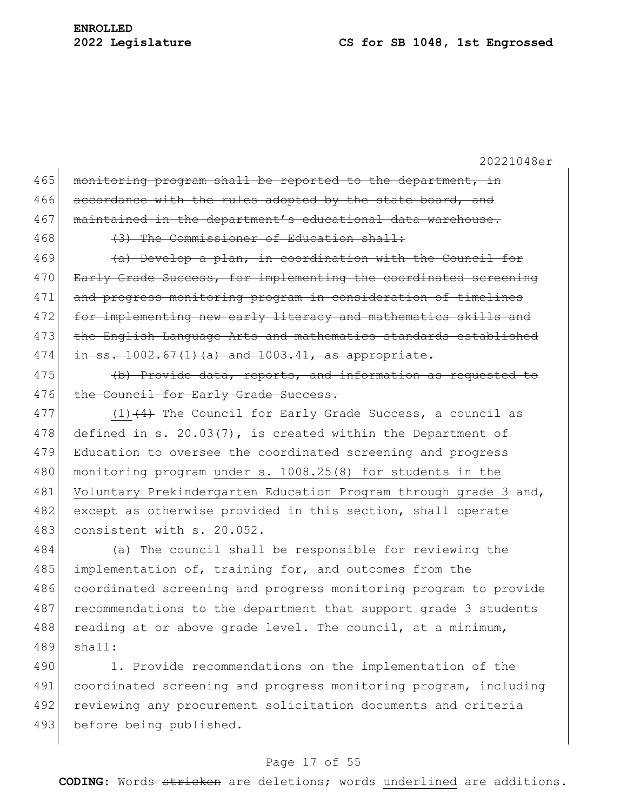| 465 | monitoring program shall be reported to the department, in       |  |  |  |  |  |
|-----|------------------------------------------------------------------|--|--|--|--|--|
| 466 | accordance with the rules adopted by the state board, and        |  |  |  |  |  |
| 467 | maintained in the department's educational data warehouse.       |  |  |  |  |  |
| 468 | (3) The Commissioner of Education shall:                         |  |  |  |  |  |
| 469 | (a) Develop a plan, in coordination with the Council for         |  |  |  |  |  |
| 470 | Early Grade Success, for implementing the coordinated screening  |  |  |  |  |  |
| 471 | and progress monitoring program in consideration of timelines    |  |  |  |  |  |
| 472 | for implementing new early literacy and mathematics skills and   |  |  |  |  |  |
| 473 | the English Language Arts and mathematics standards established  |  |  |  |  |  |
| 474 | $in$ ss. $1002.67(1)(a)$ and $1003.41$ , as appropriate.         |  |  |  |  |  |
| 475 | (b) Provide data, reports, and information as requested to       |  |  |  |  |  |
| 476 | the Council for Early Grade Success.                             |  |  |  |  |  |
| 477 | $(1)$ $(4)$ The Council for Early Grade Success, a council as    |  |  |  |  |  |
| 478 | defined in s. 20.03(7), is created within the Department of      |  |  |  |  |  |
| 479 | Education to oversee the coordinated screening and progress      |  |  |  |  |  |
| 480 | monitoring program under s. 1008.25(8) for students in the       |  |  |  |  |  |
| 481 | Voluntary Prekindergarten Education Program through grade 3 and, |  |  |  |  |  |
| 482 | except as otherwise provided in this section, shall operate      |  |  |  |  |  |
| 483 | consistent with s. 20.052.                                       |  |  |  |  |  |
|     |                                                                  |  |  |  |  |  |

484 (a) The council shall be responsible for reviewing the 485 implementation of, training for, and outcomes from the 486 coordinated screening and progress monitoring program to provide 487 recommendations to the department that support grade 3 students 488 reading at or above grade level. The council, at a minimum, 489 shall:

490 1. Provide recommendations on the implementation of the 491 coordinated screening and progress monitoring program, including 492 reviewing any procurement solicitation documents and criteria 493 before being published.

## Page 17 of 55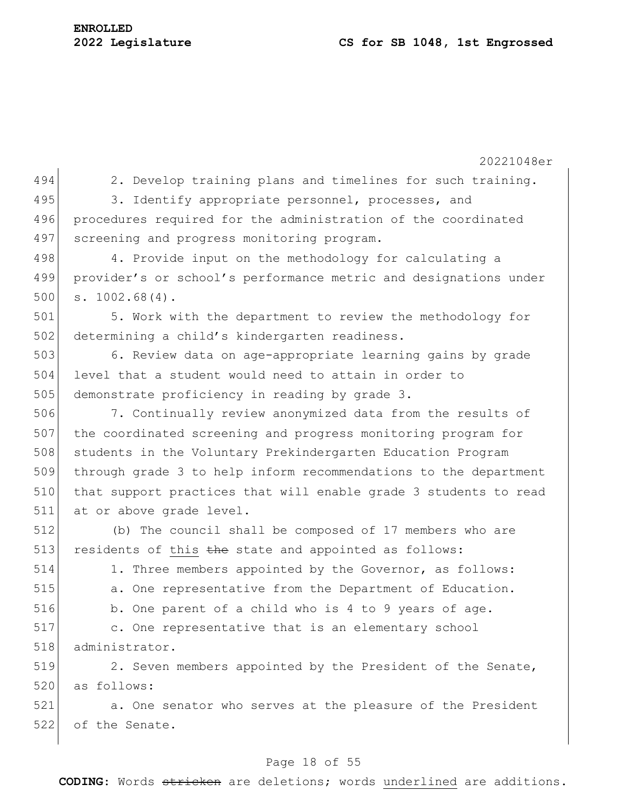20221048er 494 2. Develop training plans and timelines for such training. 495 3. Identify appropriate personnel, processes, and 496 procedures required for the administration of the coordinated 497 screening and progress monitoring program. 498 4. Provide input on the methodology for calculating a 499 provider's or school's performance metric and designations under  $500$  s.  $1002.68(4)$ . 501 5. Work with the department to review the methodology for 502 determining a child's kindergarten readiness. 503 6. Review data on age-appropriate learning gains by grade 504 level that a student would need to attain in order to 505 demonstrate proficiency in reading by grade 3. 506 7. Continually review anonymized data from the results of 507 the coordinated screening and progress monitoring program for 508 students in the Voluntary Prekindergarten Education Program 509 through grade 3 to help inform recommendations to the department 510 that support practices that will enable grade 3 students to read 511 at or above grade level. 512 (b) The council shall be composed of 17 members who are 513 residents of this  $t$  the state and appointed as follows: 514 1. Three members appointed by the Governor, as follows: 515 **a.** One representative from the Department of Education. 516 b. One parent of a child who is 4 to 9 years of age. 517 c. One representative that is an elementary school 518 administrator. 519 2. Seven members appointed by the President of the Senate, 520 as follows: 521 a. One senator who serves at the pleasure of the President 522 of the Senate.

#### Page 18 of 55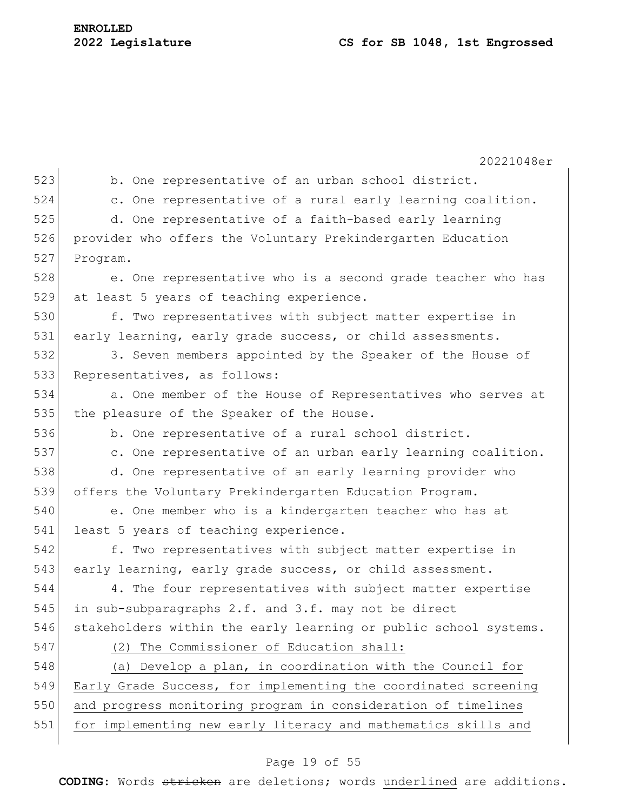20221048er 523 b. One representative of an urban school district. 524 c. One representative of a rural early learning coalition. 525 d. One representative of a faith-based early learning 526 provider who offers the Voluntary Prekindergarten Education 527 Program. 528 e. One representative who is a second grade teacher who has 529 at least 5 years of teaching experience. 530 f. Two representatives with subject matter expertise in 531 early learning, early grade success, or child assessments. 532 3. Seven members appointed by the Speaker of the House of 533 Representatives, as follows: 534 a. One member of the House of Representatives who serves at 535 the pleasure of the Speaker of the House. 536 b. One representative of a rural school district. 537 c. One representative of an urban early learning coalition. 538 d. One representative of an early learning provider who 539 offers the Voluntary Prekindergarten Education Program. 540 e. One member who is a kindergarten teacher who has at 541 least 5 years of teaching experience. 542 f. Two representatives with subject matter expertise in 543 early learning, early grade success, or child assessment. 544 4. The four representatives with subject matter expertise 545 in sub-subparagraphs 2.f. and 3.f. may not be direct 546 stakeholders within the early learning or public school systems. 547 (2) The Commissioner of Education shall: 548 (a) Develop a plan, in coordination with the Council for 549 Early Grade Success, for implementing the coordinated screening 550 and progress monitoring program in consideration of timelines 551 for implementing new early literacy and mathematics skills and

# Page 19 of 55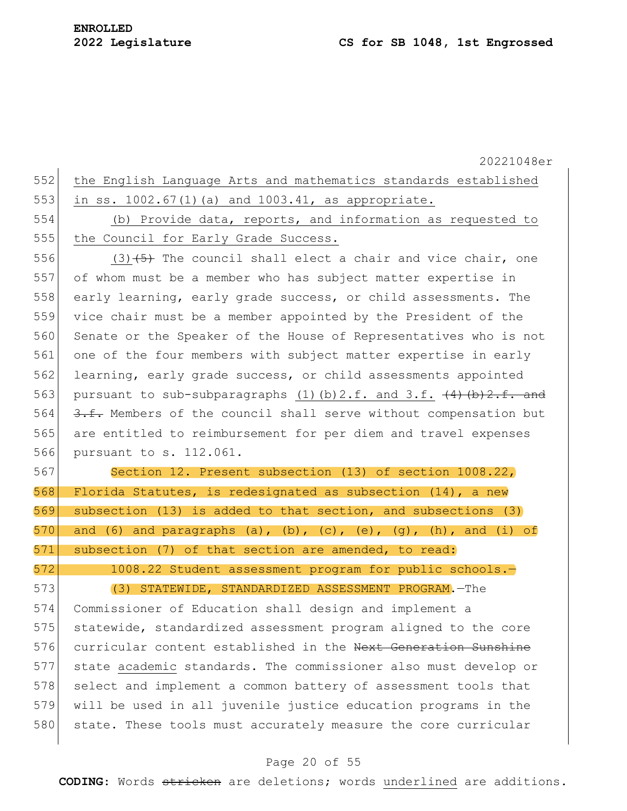20221048er 552 the English Language Arts and mathematics standards established 553 in ss. 1002.67(1)(a) and 1003.41, as appropriate. 554 (b) Provide data, reports, and information as requested to 555 the Council for Early Grade Success. 556  $(3)$   $(5)$  The council shall elect a chair and vice chair, one 557 of whom must be a member who has subject matter expertise in 558 early learning, early grade success, or child assessments. The 559 vice chair must be a member appointed by the President of the 560 Senate or the Speaker of the House of Representatives who is not 561 one of the four members with subject matter expertise in early 562 learning, early grade success, or child assessments appointed 563 pursuant to sub-subparagraphs (1)(b)2.f. and 3.f.  $\left\{4\right\}$  (b)2.f. and 564  $\left\{\frac{3.5}{1.5}\right\}$  Members of the council shall serve without compensation but 565 are entitled to reimbursement for per diem and travel expenses 566 pursuant to s. 112.061. 567 Section 12. Present subsection (13) of section 1008.22, 568 Florida Statutes, is redesignated as subsection  $(14)$ , a new 569 subsection (13) is added to that section, and subsections (3) 570 and (6) and paragraphs (a), (b), (c), (e), (g), (h), and (i) of 571 subsection (7) of that section are amended, to read: 572 1008.22 Student assessment program for public schools.— 573 (3) STATEWIDE, STANDARDIZED ASSESSMENT PROGRAM.—The 574 Commissioner of Education shall design and implement a 575 statewide, standardized assessment program aligned to the core 576 curricular content established in the Next Generation Sunshine 577 state academic standards. The commissioner also must develop or 578 select and implement a common battery of assessment tools that 579 will be used in all juvenile justice education programs in the 580 state. These tools must accurately measure the core curricular

#### Page 20 of 55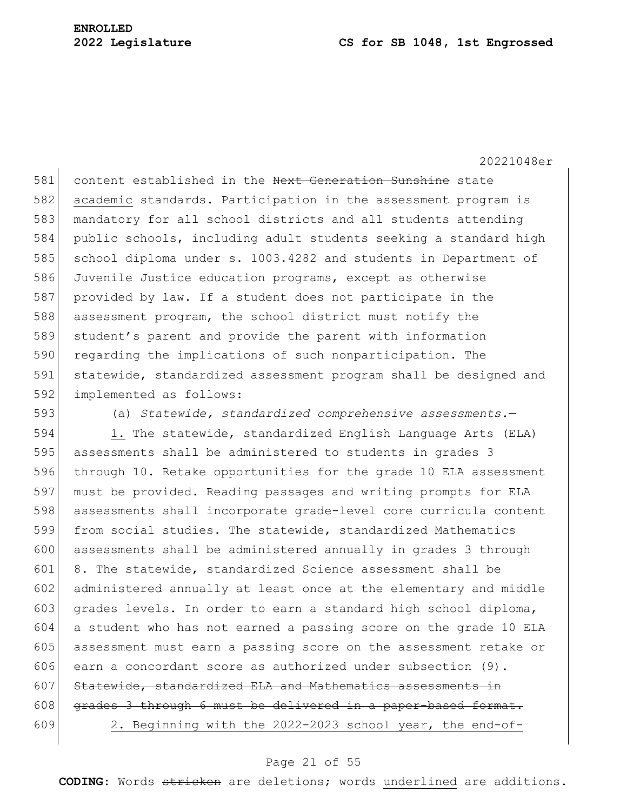#### **2022 Legislature CS for SB 1048, 1st Engrossed**

20221048er

581 content established in the Next Generation Sunshine state 582 academic standards. Participation in the assessment program is 583 mandatory for all school districts and all students attending 584 public schools, including adult students seeking a standard high 585 school diploma under s. 1003.4282 and students in Department of 586 Juvenile Justice education programs, except as otherwise 587 provided by law. If a student does not participate in the 588 assessment program, the school district must notify the 589 student's parent and provide the parent with information 590 regarding the implications of such nonparticipation. The 591 statewide, standardized assessment program shall be designed and 592 implemented as follows:

593 (a) *Statewide, standardized comprehensive assessments.*—

594 1. The statewide, standardized English Language Arts (ELA) assessments shall be administered to students in grades 3 through 10. Retake opportunities for the grade 10 ELA assessment must be provided. Reading passages and writing prompts for ELA assessments shall incorporate grade-level core curricula content from social studies. The statewide, standardized Mathematics assessments shall be administered annually in grades 3 through 601 8. The statewide, standardized Science assessment shall be administered annually at least once at the elementary and middle 603 grades levels. In order to earn a standard high school diploma, a student who has not earned a passing score on the grade 10 ELA assessment must earn a passing score on the assessment retake or 606 earn a concordant score as authorized under subsection (9). Statewide, standardized ELA and Mathematics assessments in grades 3 through 6 must be delivered in a paper-based format. 2. Beginning with the 2022-2023 school year, the end-of-

#### Page 21 of 55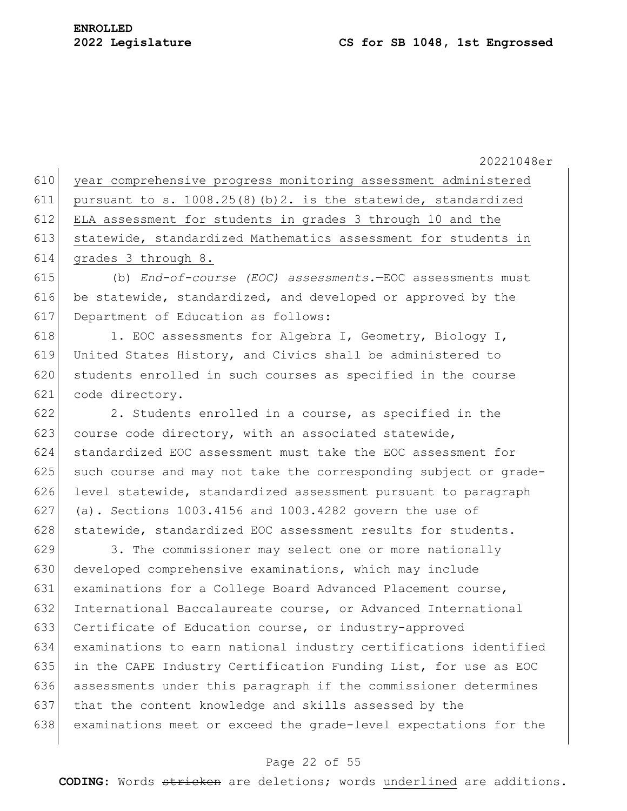$\mathbf{I}$ 

20221048er

|     | 610 year comprehensive progress monitoring assessment administered |
|-----|--------------------------------------------------------------------|
| 611 | pursuant to s. $1008.25(8)$ (b) 2. is the statewide, standardized  |
| 612 | ELA assessment for students in grades 3 through 10 and the         |
| 613 | statewide, standardized Mathematics assessment for students in     |
| 614 | grades 3 through 8.                                                |
|     |                                                                    |

 (b) *End-of-course (EOC) assessments.*—EOC assessments must 616 be statewide, standardized, and developed or approved by the Department of Education as follows:

618 1. EOC assessments for Algebra I, Geometry, Biology I, United States History, and Civics shall be administered to students enrolled in such courses as specified in the course code directory.

 2. Students enrolled in a course, as specified in the 623 course code directory, with an associated statewide, standardized EOC assessment must take the EOC assessment for such course and may not take the corresponding subject or grade- level statewide, standardized assessment pursuant to paragraph (a). Sections 1003.4156 and 1003.4282 govern the use of 628 statewide, standardized EOC assessment results for students.

629 3. The commissioner may select one or more nationally 630 developed comprehensive examinations, which may include examinations for a College Board Advanced Placement course, International Baccalaureate course, or Advanced International Certificate of Education course, or industry-approved examinations to earn national industry certifications identified in the CAPE Industry Certification Funding List, for use as EOC assessments under this paragraph if the commissioner determines that the content knowledge and skills assessed by the examinations meet or exceed the grade-level expectations for the

## Page 22 of 55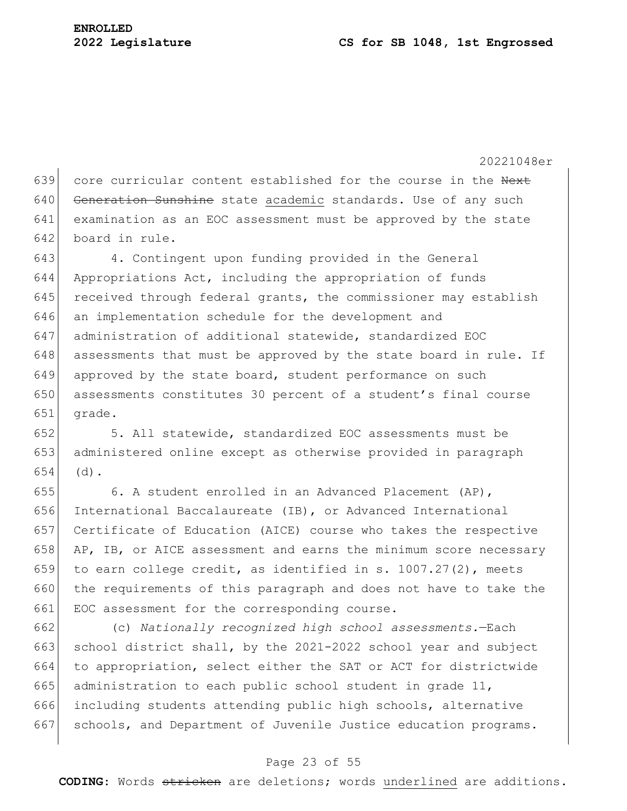639 core curricular content established for the course in the Next 640 Generation Sunshine state academic standards. Use of any such 641 examination as an EOC assessment must be approved by the state 642 board in rule.

 4. Contingent upon funding provided in the General Appropriations Act, including the appropriation of funds received through federal grants, the commissioner may establish an implementation schedule for the development and administration of additional statewide, standardized EOC assessments that must be approved by the state board in rule. If 649 approved by the state board, student performance on such 650 assessments constitutes 30 percent of a student's final course 651 grade.

652 5. All statewide, standardized EOC assessments must be 653 administered online except as otherwise provided in paragraph  $654$  (d).

655 6. A student enrolled in an Advanced Placement (AP), 656 International Baccalaureate (IB), or Advanced International 657 Certificate of Education (AICE) course who takes the respective 658 AP, IB, or AICE assessment and earns the minimum score necessary 659 to earn college credit, as identified in s. 1007.27(2), meets 660 the requirements of this paragraph and does not have to take the 661 EOC assessment for the corresponding course.

662 (c) *Nationally recognized high school assessments.*—Each 663 school district shall, by the 2021-2022 school year and subject 664 to appropriation, select either the SAT or ACT for districtwide 665 administration to each public school student in grade  $11$ , 666 including students attending public high schools, alternative 667 schools, and Department of Juvenile Justice education programs.

## Page 23 of 55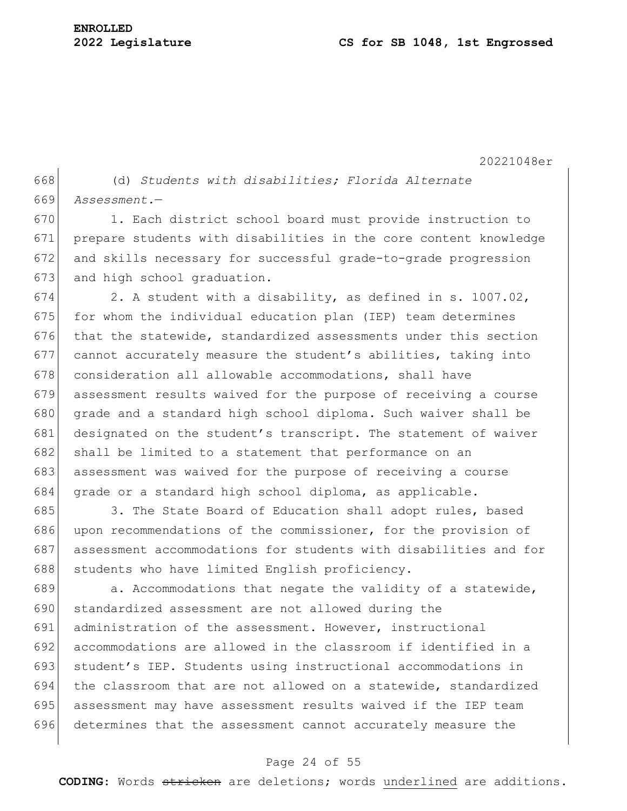668 (d) *Students with disabilities; Florida Alternate*  669 *Assessment.*—

670 1. Each district school board must provide instruction to 671 prepare students with disabilities in the core content knowledge 672 and skills necessary for successful grade-to-grade progression 673 and high school graduation.

674 2. A student with a disability, as defined in s. 1007.02, 675 for whom the individual education plan (IEP) team determines 676 that the statewide, standardized assessments under this section 677 cannot accurately measure the student's abilities, taking into 678 consideration all allowable accommodations, shall have 679 assessment results waived for the purpose of receiving a course 680 grade and a standard high school diploma. Such waiver shall be 681 designated on the student's transcript. The statement of waiver 682 shall be limited to a statement that performance on an 683 assessment was waived for the purpose of receiving a course 684 grade or a standard high school diploma, as applicable.

685 3. The State Board of Education shall adopt rules, based 686 upon recommendations of the commissioner, for the provision of 687 assessment accommodations for students with disabilities and for 688 students who have limited English proficiency.

 a. Accommodations that negate the validity of a statewide, 690 standardized assessment are not allowed during the administration of the assessment. However, instructional accommodations are allowed in the classroom if identified in a 693 student's IEP. Students using instructional accommodations in 694 | the classroom that are not allowed on a statewide, standardized assessment may have assessment results waived if the IEP team determines that the assessment cannot accurately measure the

## Page 24 of 55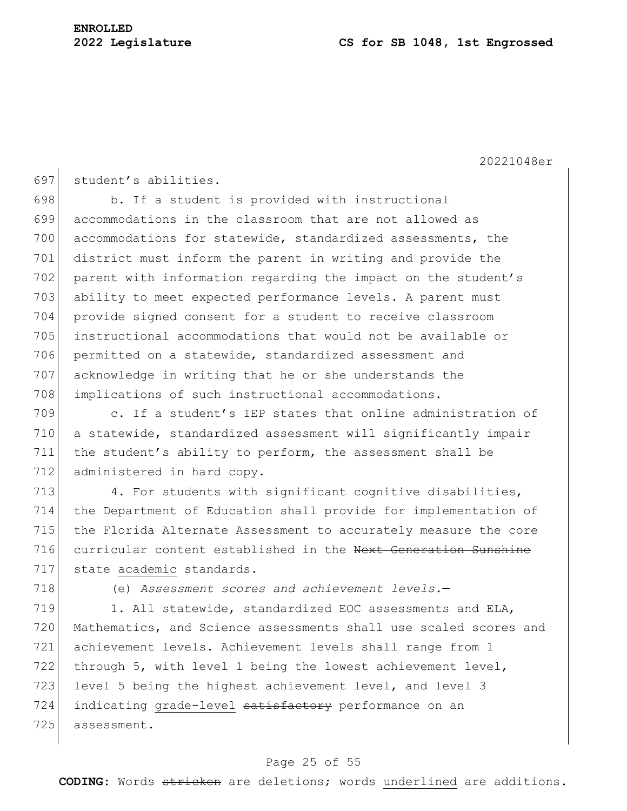697 student's abilities.

698 b. If a student is provided with instructional 699 accommodations in the classroom that are not allowed as 700 accommodations for statewide, standardized assessments, the 701 district must inform the parent in writing and provide the 702 parent with information regarding the impact on the student's 703 ability to meet expected performance levels. A parent must 704 provide signed consent for a student to receive classroom 705 instructional accommodations that would not be available or 706 permitted on a statewide, standardized assessment and 707 acknowledge in writing that he or she understands the 708 implications of such instructional accommodations.

709 c. If a student's IEP states that online administration of 710 a statewide, standardized assessment will significantly impair 711 the student's ability to perform, the assessment shall be 712 administered in hard copy.

713 4. For students with significant cognitive disabilities, 714 the Department of Education shall provide for implementation of 715 the Florida Alternate Assessment to accurately measure the core 716 curricular content established in the Next Generation Sunshine 717 state academic standards.

718 (e) *Assessment scores and achievement levels.*—

719 1. All statewide, standardized EOC assessments and ELA, 720 Mathematics, and Science assessments shall use scaled scores and 721 achievement levels. Achievement levels shall range from 1 722 through 5, with level 1 being the lowest achievement level, 723 level 5 being the highest achievement level, and level 3 724 indicating grade-level satisfactory performance on an 725 assessment.

## Page 25 of 55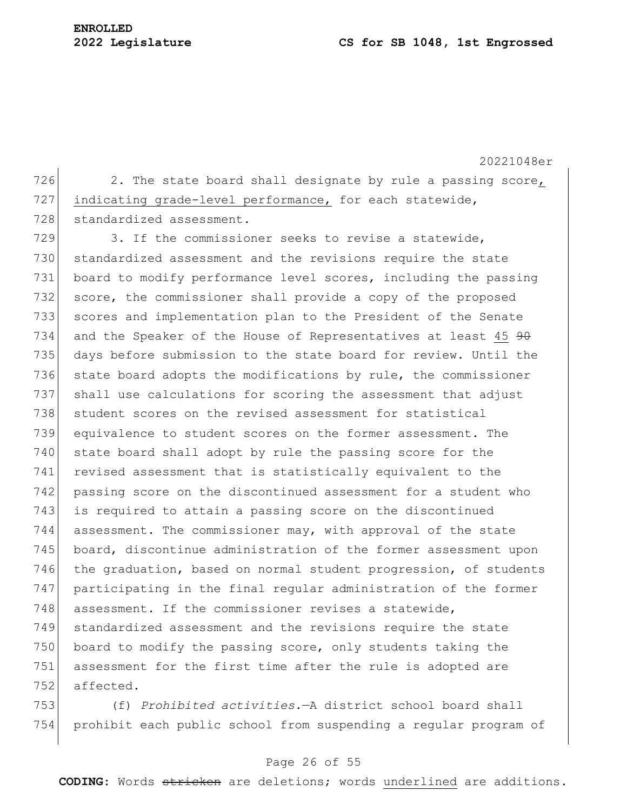20221048er 726 2. The state board shall designate by rule a passing score, 727 indicating grade-level performance, for each statewide, 728 standardized assessment.

729 3. If the commissioner seeks to revise a statewide, 730 standardized assessment and the revisions require the state 731 board to modify performance level scores, including the passing 732 score, the commissioner shall provide a copy of the proposed 733 scores and implementation plan to the President of the Senate 734 and the Speaker of the House of Representatives at least 45  $90$ 735 days before submission to the state board for review. Until the 736 state board adopts the modifications by rule, the commissioner 737 shall use calculations for scoring the assessment that adjust 738 student scores on the revised assessment for statistical 739 equivalence to student scores on the former assessment. The 740 state board shall adopt by rule the passing score for the 741 revised assessment that is statistically equivalent to the 742 passing score on the discontinued assessment for a student who 743 is required to attain a passing score on the discontinued 744 assessment. The commissioner may, with approval of the state 745 board, discontinue administration of the former assessment upon 746 the graduation, based on normal student progression, of students 747 participating in the final regular administration of the former 748 assessment. If the commissioner revises a statewide, 749 standardized assessment and the revisions require the state 750 board to modify the passing score, only students taking the 751 assessment for the first time after the rule is adopted are 752 affected.

753 (f) *Prohibited activities.*—A district school board shall 754 prohibit each public school from suspending a regular program of

## Page 26 of 55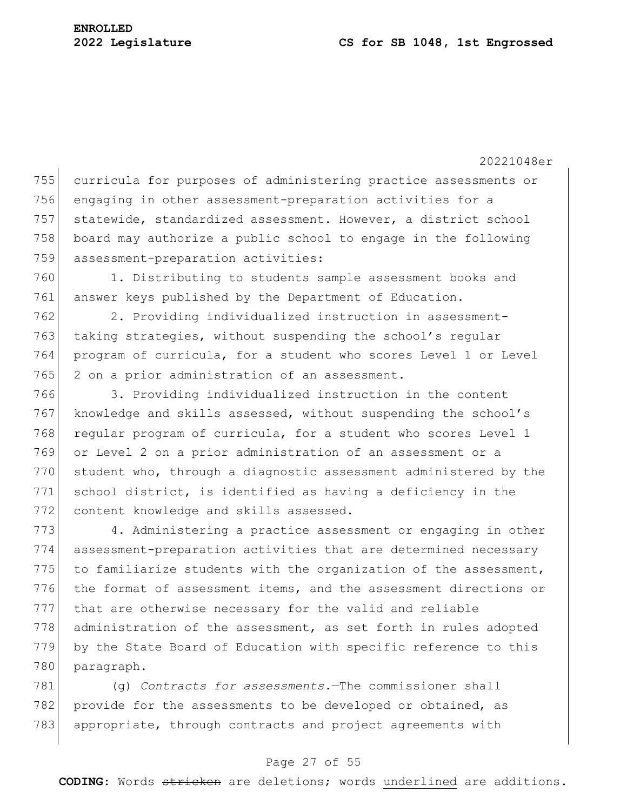20221048er curricula for purposes of administering practice assessments or engaging in other assessment-preparation activities for a statewide, standardized assessment. However, a district school board may authorize a public school to engage in the following assessment-preparation activities: 1. Distributing to students sample assessment books and answer keys published by the Department of Education. 2. Providing individualized instruction in assessment-

763 taking strategies, without suspending the school's regular 764 program of curricula, for a student who scores Level 1 or Level 765 2 on a prior administration of an assessment.

766 3. Providing individualized instruction in the content 767 knowledge and skills assessed, without suspending the school's 768 regular program of curricula, for a student who scores Level 1 769 or Level 2 on a prior administration of an assessment or a 770 student who, through a diagnostic assessment administered by the 771 school district, is identified as having a deficiency in the 772 content knowledge and skills assessed.

773 4. Administering a practice assessment or engaging in other 774 assessment-preparation activities that are determined necessary 775 to familiarize students with the organization of the assessment, 776 the format of assessment items, and the assessment directions or 777 that are otherwise necessary for the valid and reliable 778 administration of the assessment, as set forth in rules adopted 779 by the State Board of Education with specific reference to this 780 paragraph.

781 (g) *Contracts for assessments.*—The commissioner shall 782 provide for the assessments to be developed or obtained, as 783 appropriate, through contracts and project agreements with

#### Page 27 of 55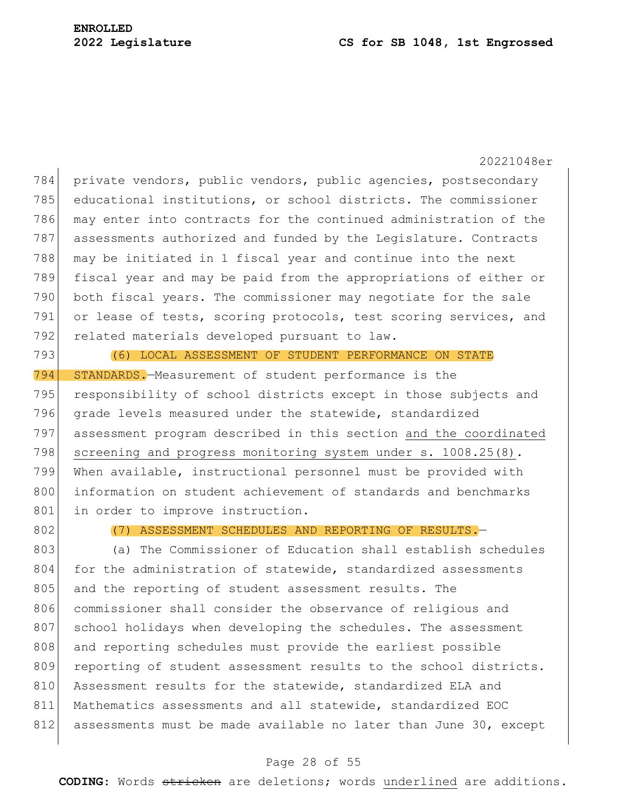private vendors, public vendors, public agencies, postsecondary educational institutions, or school districts. The commissioner may enter into contracts for the continued administration of the 787 assessments authorized and funded by the Legislature. Contracts may be initiated in 1 fiscal year and continue into the next fiscal year and may be paid from the appropriations of either or both fiscal years. The commissioner may negotiate for the sale 791 or lease of tests, scoring protocols, test scoring services, and 792 related materials developed pursuant to law. (6) LOCAL ASSESSMENT OF STUDENT PERFORMANCE ON STATE STANDARDS.—Measurement of student performance is the 795 responsibility of school districts except in those subjects and 796 grade levels measured under the statewide, standardized assessment program described in this section and the coordinated 798 screening and progress monitoring system under s. 1008.25(8). When available, instructional personnel must be provided with information on student achievement of standards and benchmarks 801 in order to improve instruction.

802 (7) ASSESSMENT SCHEDULES AND REPORTING OF RESULTS.

803 (a) The Commissioner of Education shall establish schedules 804 for the administration of statewide, standardized assessments 805 and the reporting of student assessment results. The 806 commissioner shall consider the observance of religious and 807 school holidays when developing the schedules. The assessment 808 and reporting schedules must provide the earliest possible 809 reporting of student assessment results to the school districts. 810 Assessment results for the statewide, standardized ELA and 811 Mathematics assessments and all statewide, standardized EOC 812 assessments must be made available no later than June 30, except

## Page 28 of 55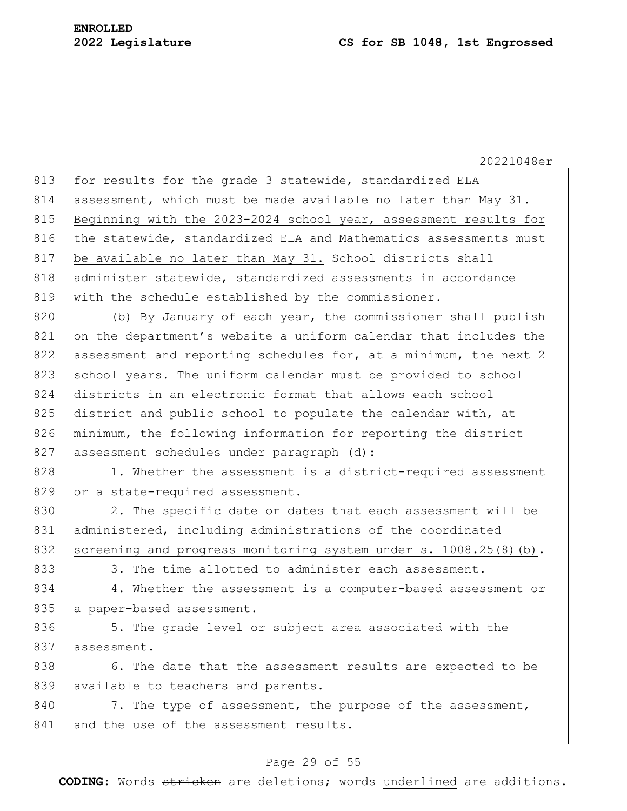813 for results for the grade 3 statewide, standardized ELA 814 assessment, which must be made available no later than May 31. 815 Beginning with the 2023-2024 school year, assessment results for 816 the statewide, standardized ELA and Mathematics assessments must 817 be available no later than May 31. School districts shall 818 administer statewide, standardized assessments in accordance 819 with the schedule established by the commissioner.

820 (b) By January of each year, the commissioner shall publish 821 on the department's website a uniform calendar that includes the 822 assessment and reporting schedules for, at a minimum, the next 2 823 school years. The uniform calendar must be provided to school 824 districts in an electronic format that allows each school 825 district and public school to populate the calendar with, at 826 minimum, the following information for reporting the district 827 assessment schedules under paragraph (d):

828 1. Whether the assessment is a district-required assessment 829 or a state-required assessment.

830 2. The specific date or dates that each assessment will be 831 administered, including administrations of the coordinated 832 screening and progress monitoring system under s. 1008.25(8)(b).

833 3. The time allotted to administer each assessment.

834 4. Whether the assessment is a computer-based assessment or 835 a paper-based assessment.

836 5. The grade level or subject area associated with the 837 assessment.

838 6. The date that the assessment results are expected to be 839 available to teachers and parents.

840 7. The type of assessment, the purpose of the assessment, 841 and the use of the assessment results.

## Page 29 of 55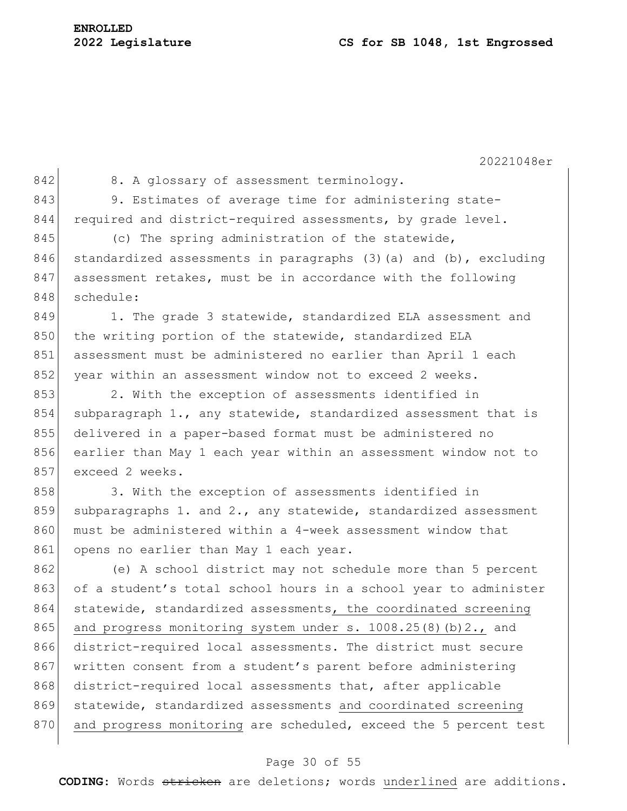| I |  |
|---|--|
|   |  |

 $\begin{array}{c|c} 842 & \text{8. A glossary of assessment terminology.} \end{array}$ 843 9. Estimates of average time for administering state-844 required and district-required assessments, by grade level.

845 (c) The spring administration of the statewide, 846 standardized assessments in paragraphs  $(3)$  (a) and  $(b)$ , excluding 847 assessment retakes, must be in accordance with the following 848 schedule:

849 1. The grade 3 statewide, standardized ELA assessment and 850 the writing portion of the statewide, standardized ELA 851 assessment must be administered no earlier than April 1 each 852 year within an assessment window not to exceed 2 weeks.

853 2. With the exception of assessments identified in 854 subparagraph 1., any statewide, standardized assessment that is 855 delivered in a paper-based format must be administered no 856 earlier than May 1 each year within an assessment window not to 857 exceed 2 weeks.

858 3. With the exception of assessments identified in 859 subparagraphs 1. and 2., any statewide, standardized assessment 860 must be administered within a 4-week assessment window that 861 opens no earlier than May 1 each year.

862 (e) A school district may not schedule more than 5 percent 863 of a student's total school hours in a school year to administer 864 statewide, standardized assessments, the coordinated screening 865 and progress monitoring system under s.  $1008.25(8)(b)2.$ , and 866 district-required local assessments. The district must secure 867 written consent from a student's parent before administering 868 district-required local assessments that, after applicable 869 statewide, standardized assessments and coordinated screening 870 and progress monitoring are scheduled, exceed the 5 percent test

## Page 30 of 55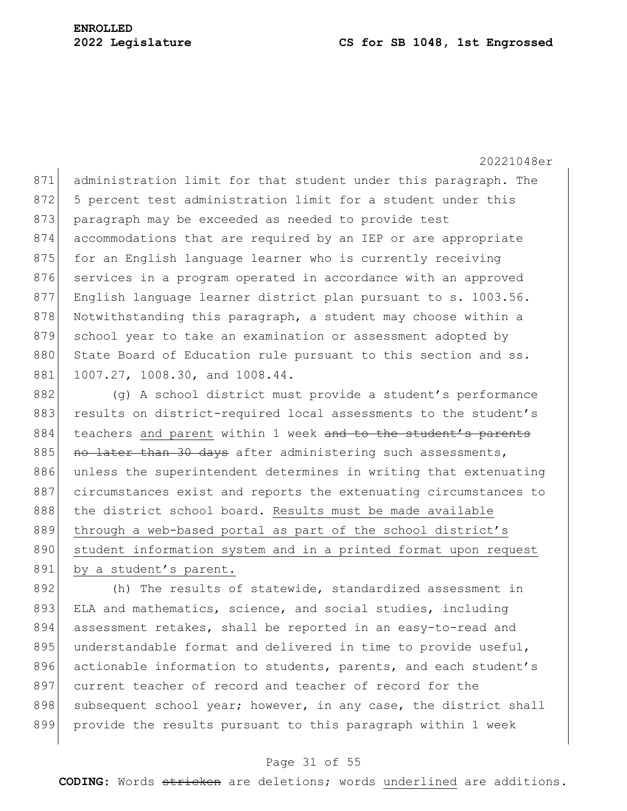#### **2022 Legislature CS for SB 1048, 1st Engrossed**

20221048er

871 administration limit for that student under this paragraph. The 872 5 percent test administration limit for a student under this 873 paragraph may be exceeded as needed to provide test 874 accommodations that are required by an IEP or are appropriate 875 for an English language learner who is currently receiving 876 services in a program operated in accordance with an approved 877 English language learner district plan pursuant to s. 1003.56. 878 Notwithstanding this paragraph, a student may choose within a 879 school year to take an examination or assessment adopted by 880 State Board of Education rule pursuant to this section and ss. 881 1007.27, 1008.30, and 1008.44.

882 (g) A school district must provide a student's performance 883 results on district-required local assessments to the student's 884 teachers and parent within 1 week and to the student's parents 885 no later than 30 days after administering such assessments, 886 unless the superintendent determines in writing that extenuating 887 circumstances exist and reports the extenuating circumstances to 888 | the district school board. Results must be made available 889 through a web-based portal as part of the school district's 890 student information system and in a printed format upon request 891 by a student's parent.

892 (h) The results of statewide, standardized assessment in 893 ELA and mathematics, science, and social studies, including 894 assessment retakes, shall be reported in an easy-to-read and 895 understandable format and delivered in time to provide useful, 896 actionable information to students, parents, and each student's 897 current teacher of record and teacher of record for the 898 subsequent school year; however, in any case, the district shall 899 provide the results pursuant to this paragraph within 1 week

#### Page 31 of 55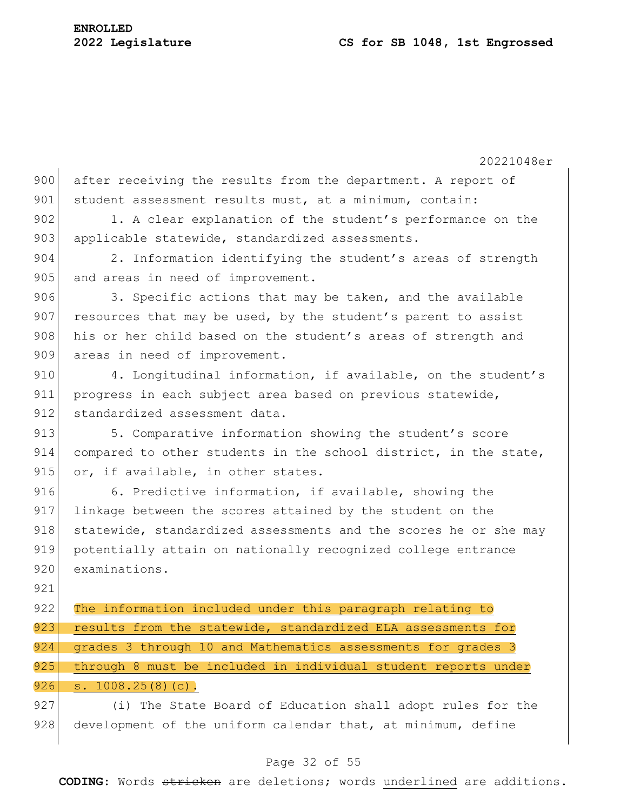20221048er 900 after receiving the results from the department. A report of 901 student assessment results must, at a minimum, contain: 902 1. A clear explanation of the student's performance on the 903 applicable statewide, standardized assessments. 904 2. Information identifying the student's areas of strength 905 and areas in need of improvement.  $906$  3. Specific actions that may be taken, and the available 907 resources that may be used, by the student's parent to assist 908 his or her child based on the student's areas of strength and 909 areas in need of improvement. 910 4. Longitudinal information, if available, on the student's 911 progress in each subject area based on previous statewide, 912 standardized assessment data. 913 5. Comparative information showing the student's score

914 compared to other students in the school district, in the state, 915 or, if available, in other states.

916 6. Predictive information, if available, showing the 917 linkage between the scores attained by the student on the 918 statewide, standardized assessments and the scores he or she may 919 potentially attain on nationally recognized college entrance 920 examinations.

921

922 The information included under this paragraph relating to 923 results from the statewide, standardized ELA assessments for 924 grades 3 through 10 and Mathematics assessments for grades 3 925 through 8 must be included in individual student reports under  $926$  s.  $1008.25(8)(c)$ .

927 (i) The State Board of Education shall adopt rules for the 928 development of the uniform calendar that, at minimum, define

# Page 32 of 55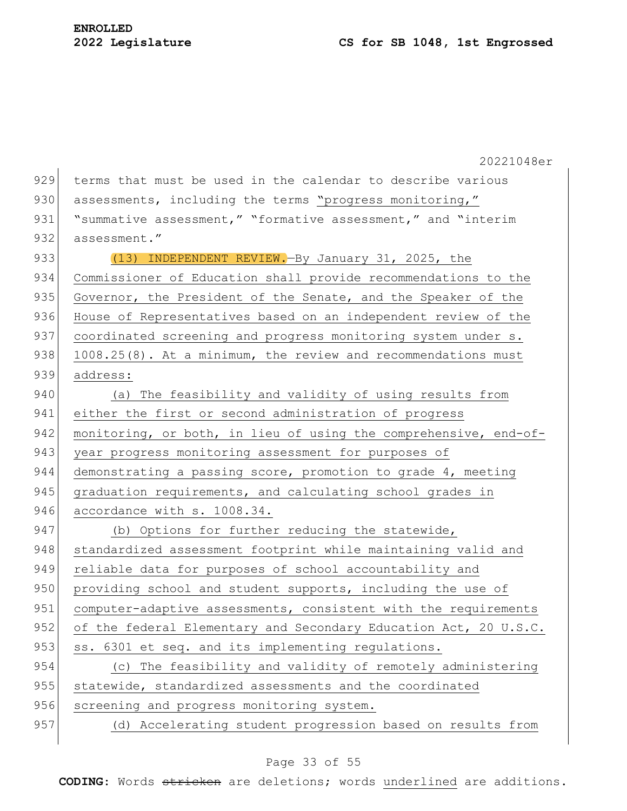20221048er 929 terms that must be used in the calendar to describe various 930 assessments, including the terms "progress monitoring," 931 | "summative assessment," "formative assessment," and "interim 932 assessment." 933 (13) INDEPENDENT REVIEW. By January 31, 2025, the 934 Commissioner of Education shall provide recommendations to the 935 Governor, the President of the Senate, and the Speaker of the 936 House of Representatives based on an independent review of the 937 coordinated screening and progress monitoring system under s. 938 1008.25(8). At a minimum, the review and recommendations must 939 address: 940 (a) The feasibility and validity of using results from 941 either the first or second administration of progress 942 monitoring, or both, in lieu of using the comprehensive, end-of-943 year progress monitoring assessment for purposes of 944 demonstrating a passing score, promotion to grade 4, meeting 945 graduation requirements, and calculating school grades in 946 accordance with s. 1008.34. 947 (b) Options for further reducing the statewide, 948 standardized assessment footprint while maintaining valid and 949 reliable data for purposes of school accountability and 950 providing school and student supports, including the use of 951 computer-adaptive assessments, consistent with the requirements 952 of the federal Elementary and Secondary Education Act, 20 U.S.C. 953 ss. 6301 et seq. and its implementing regulations. 954 (c) The feasibility and validity of remotely administering 955 statewide, standardized assessments and the coordinated 956 screening and progress monitoring system. 957 (d) Accelerating student progression based on results from

#### Page 33 of 55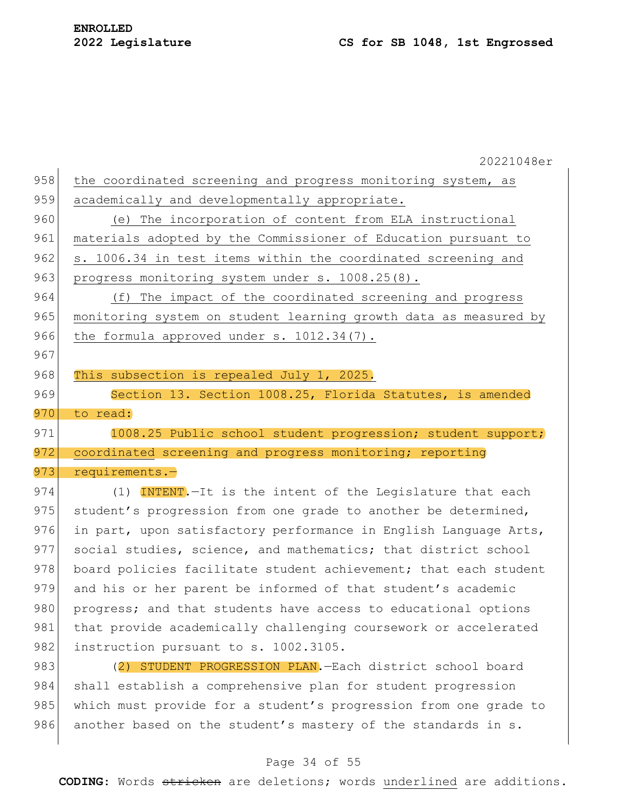20221048er 958 the coordinated screening and progress monitoring system, as 959 academically and developmentally appropriate. 960 (e) The incorporation of content from ELA instructional 961 materials adopted by the Commissioner of Education pursuant to 962 s. 1006.34 in test items within the coordinated screening and 963 progress monitoring system under s. 1008.25(8). 964 (f) The impact of the coordinated screening and progress 965 monitoring system on student learning growth data as measured by 966 the formula approved under s. 1012.34(7). 967 968 This subsection is repealed July 1, 2025. 969 Section 13. Section 1008.25, Florida Statutes, is amended 970 to read: 971 1008.25 Public school student progression; student support; 972 coordinated screening and progress monitoring; reporting 973 requirements.-974 (1) INTENT. - It is the intent of the Legislature that each 975 student's progression from one grade to another be determined, 976 in part, upon satisfactory performance in English Language Arts, 977 social studies, science, and mathematics; that district school 978 board policies facilitate student achievement; that each student 979 and his or her parent be informed of that student's academic 980 progress; and that students have access to educational options 981 that provide academically challenging coursework or accelerated 982 instruction pursuant to s. 1002.3105. 983 (2) STUDENT PROGRESSION PLAN.—Each district school board 984 shall establish a comprehensive plan for student progression 985 which must provide for a student's progression from one grade to 986 another based on the student's mastery of the standards in s.

#### Page 34 of 55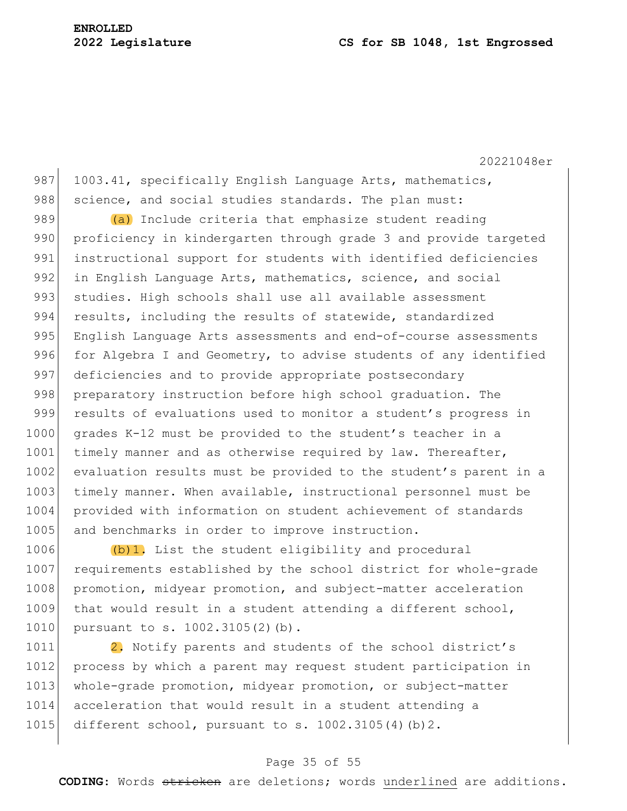#### **2022 Legislature CS for SB 1048, 1st Engrossed**

20221048er

987 1003.41, specifically English Language Arts, mathematics, 988 science, and social studies standards. The plan must:

989  $(a)$  Include criteria that emphasize student reading 990 proficiency in kindergarten through grade 3 and provide targeted 991 instructional support for students with identified deficiencies 992 in English Language Arts, mathematics, science, and social 993 studies. High schools shall use all available assessment 994 results, including the results of statewide, standardized 995 English Language Arts assessments and end-of-course assessments 996 for Algebra I and Geometry, to advise students of any identified 997 deficiencies and to provide appropriate postsecondary 998 preparatory instruction before high school graduation. The 999 results of evaluations used to monitor a student's progress in 1000 grades K-12 must be provided to the student's teacher in a 1001 timely manner and as otherwise required by law. Thereafter, 1002 evaluation results must be provided to the student's parent in a 1003 timely manner. When available, instructional personnel must be 1004 provided with information on student achievement of standards 1005 and benchmarks in order to improve instruction.

1006 (b)1. List the student eligibility and procedural 1007 requirements established by the school district for whole-grade 1008 promotion, midyear promotion, and subject-matter acceleration 1009 that would result in a student attending a different school, 1010 pursuant to s. 1002.3105(2)(b).

1011 **2.** Notify parents and students of the school district's 1012 process by which a parent may request student participation in 1013 whole-grade promotion, midyear promotion, or subject-matter 1014 acceleration that would result in a student attending a 1015 different school, pursuant to s.  $1002.3105(4)(b)2$ .

#### Page 35 of 55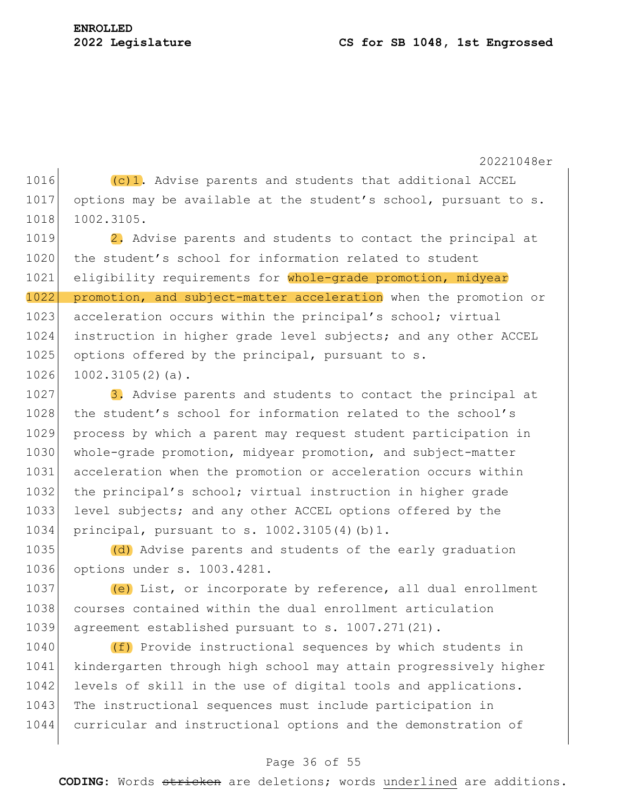1016  $(c)$ 1. Advise parents and students that additional ACCEL 1017 options may be available at the student's school, pursuant to s. 1018 1002.3105.

1019 **2.** Advise parents and students to contact the principal at 1020 the student's school for information related to student 1021 eligibility requirements for whole-grade promotion, midyear 1022 promotion, and subject-matter acceleration when the promotion or 1023 acceleration occurs within the principal's school; virtual 1024 instruction in higher grade level subjects; and any other ACCEL 1025 options offered by the principal, pursuant to s.  $1026$  1002.3105(2)(a).

1027  $\vert$  3. Advise parents and students to contact the principal at 1028 the student's school for information related to the school's 1029 process by which a parent may request student participation in 1030 whole-grade promotion, midyear promotion, and subject-matter 1031 acceleration when the promotion or acceleration occurs within 1032 the principal's school; virtual instruction in higher grade 1033 level subjects; and any other ACCEL options offered by the 1034 principal, pursuant to s. 1002.3105(4)(b)1.

1035 (d) Advise parents and students of the early graduation 1036 options under s. 1003.4281.

1037 (e) List, or incorporate by reference, all dual enrollment 1038 courses contained within the dual enrollment articulation 1039 agreement established pursuant to s. 1007.271(21).

1040 **(f)** Provide instructional sequences by which students in 1041 kindergarten through high school may attain progressively higher 1042 levels of skill in the use of digital tools and applications. 1043 The instructional sequences must include participation in 1044 curricular and instructional options and the demonstration of

## Page 36 of 55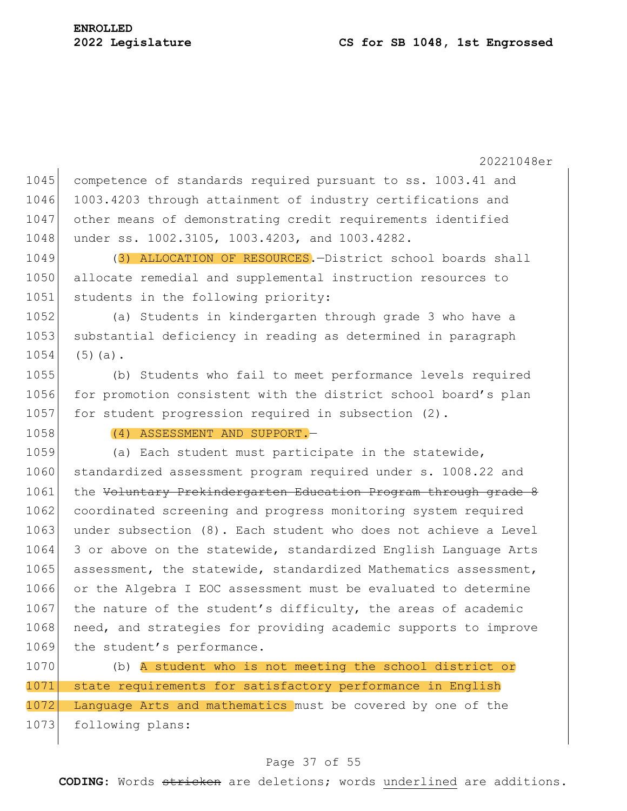20221048er 1045 competence of standards required pursuant to ss. 1003.41 and 1046 1003.4203 through attainment of industry certifications and 1047 other means of demonstrating credit requirements identified 1048 under ss. 1002.3105, 1003.4203, and 1003.4282. 1049 (3) ALLOCATION OF RESOURCES. - District school boards shall 1050 allocate remedial and supplemental instruction resources to 1051 students in the following priority: 1052 (a) Students in kindergarten through grade 3 who have a 1053 substantial deficiency in reading as determined in paragraph  $1054$  (5)(a). 1055 (b) Students who fail to meet performance levels required 1056 for promotion consistent with the district school board's plan 1057 for student progression required in subsection (2). 1058 (4) ASSESSMENT AND SUPPORT. 1059 (a) Each student must participate in the statewide, 1060 standardized assessment program required under s. 1008.22 and 1061 the <del>Voluntary Prekindergarten Education Program through grade 8</del> 1062 coordinated screening and progress monitoring system required 1063 under subsection (8). Each student who does not achieve a Level 1064 3 or above on the statewide, standardized English Language Arts 1065 assessment, the statewide, standardized Mathematics assessment, 1066 or the Algebra I EOC assessment must be evaluated to determine 1067 the nature of the student's difficulty, the areas of academic 1068 need, and strategies for providing academic supports to improve 1069 the student's performance. 1070 (b) A student who is not meeting the school district or

1071 state requirements for satisfactory performance in English 1072 Language Arts and mathematics must be covered by one of the 1073 following plans:

#### Page 37 of 55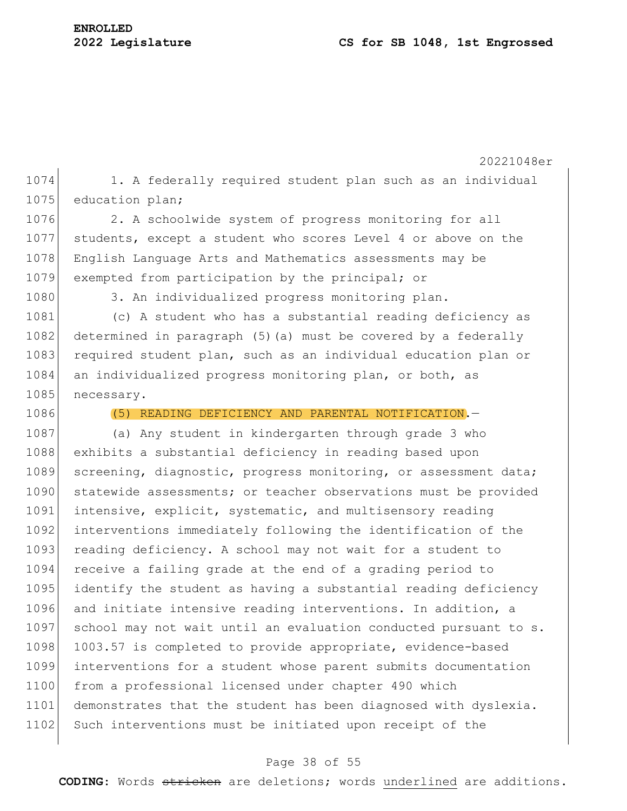20221048er 1074 1. A federally required student plan such as an individual 1075 education plan; 1076 2. A schoolwide system of progress monitoring for all 1077 students, except a student who scores Level 4 or above on the 1078 English Language Arts and Mathematics assessments may be 1079 exempted from participation by the principal; or 1080 3. An individualized progress monitoring plan. 1081 (c) A student who has a substantial reading deficiency as 1082 determined in paragraph (5)(a) must be covered by a federally 1083 required student plan, such as an individual education plan or 1084 an individualized progress monitoring plan, or both, as 1085 necessary. 1086 (5) READING DEFICIENCY AND PARENTAL NOTIFICATION. 1087 (a) Any student in kindergarten through grade 3 who 1088 exhibits a substantial deficiency in reading based upon 1089 screening, diagnostic, progress monitoring, or assessment data; 1090 statewide assessments; or teacher observations must be provided 1091 intensive, explicit, systematic, and multisensory reading 1092 interventions immediately following the identification of the 1093 reading deficiency. A school may not wait for a student to 1094 receive a failing grade at the end of a grading period to 1095 identify the student as having a substantial reading deficiency 1096 and initiate intensive reading interventions. In addition, a 1097 school may not wait until an evaluation conducted pursuant to s. 1098 1003.57 is completed to provide appropriate, evidence-based 1099 interventions for a student whose parent submits documentation 1100 from a professional licensed under chapter 490 which 1101 demonstrates that the student has been diagnosed with dyslexia. 1102 Such interventions must be initiated upon receipt of the

#### Page 38 of 55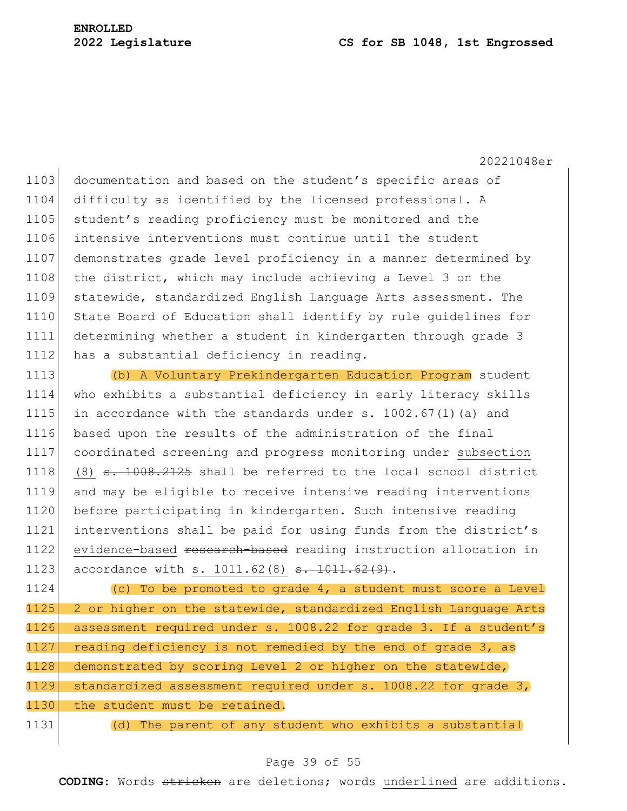1103 documentation and based on the student's specific areas of 1104 difficulty as identified by the licensed professional. A 1105 student's reading proficiency must be monitored and the 1106 intensive interventions must continue until the student 1107 demonstrates grade level proficiency in a manner determined by 1108 the district, which may include achieving a Level 3 on the 1109 statewide, standardized English Language Arts assessment. The 1110 State Board of Education shall identify by rule quidelines for 1111 determining whether a student in kindergarten through grade 3 1112 has a substantial deficiency in reading.

1113 (b) A Voluntary Prekindergarten Education Program student 1114 who exhibits a substantial deficiency in early literacy skills 1115 in accordance with the standards under s.  $1002.67(1)$  (a) and 1116 based upon the results of the administration of the final 1117 coordinated screening and progress monitoring under subsection 1118 (8)  $\pm$  1008.2125 shall be referred to the local school district 1119 and may be eligible to receive intensive reading interventions 1120 before participating in kindergarten. Such intensive reading 1121 interventions shall be paid for using funds from the district's 1122 evidence-based research-based reading instruction allocation in 1123 accordance with s. 1011.62(8) s. 1011.62(9).

1124 (c) To be promoted to grade 4, a student must score a Level 1125 2 or higher on the statewide, standardized English Language Arts 1126 assessment required under s.  $1008.22$  for grade 3. If a student's 1127 reading deficiency is not remedied by the end of grade 3, as 1128 demonstrated by scoring Level 2 or higher on the statewide, 1129 standardized assessment required under s. 1008.22 for grade 3, 1130 the student must be retained.

1131 (d) The parent of any student who exhibits a substantial

## Page 39 of 55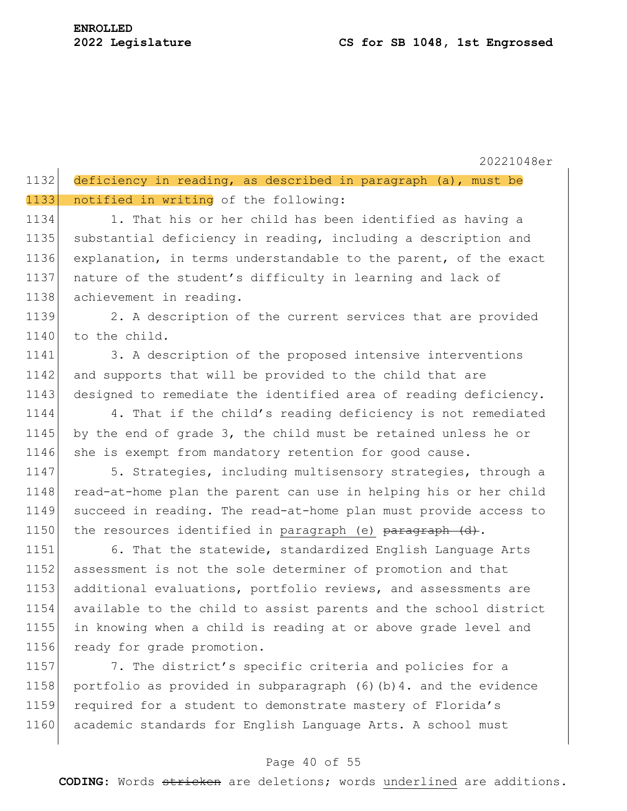$\mathbf{I}$ 

20221048er

| 1132 deficiency in reading, as described in paragraph (a), must be |  |  |  |
|--------------------------------------------------------------------|--|--|--|
| 1133 notified in writing of the following:                         |  |  |  |

1134 1. That his or her child has been identified as having a 1135 substantial deficiency in reading, including a description and 1136 explanation, in terms understandable to the parent, of the exact 1137 | nature of the student's difficulty in learning and lack of 1138 achievement in reading.

1139 2. A description of the current services that are provided 1140 to the child.

1141 3. A description of the proposed intensive interventions 1142 and supports that will be provided to the child that are 1143 designed to remediate the identified area of reading deficiency.

1144 4. That if the child's reading deficiency is not remediated 1145 by the end of grade 3, the child must be retained unless he or 1146 she is exempt from mandatory retention for good cause.

1147 5. Strategies, including multisensory strategies, through a 1148 read-at-home plan the parent can use in helping his or her child 1149 succeed in reading. The read-at-home plan must provide access to 1150 the resources identified in paragraph (e) paragraph (d).

1151 6. That the statewide, standardized English Language Arts assessment is not the sole determiner of promotion and that additional evaluations, portfolio reviews, and assessments are available to the child to assist parents and the school district in knowing when a child is reading at or above grade level and 1156 ready for grade promotion.

1157 7. The district's specific criteria and policies for a 1158 portfolio as provided in subparagraph  $(6)$  (b) 4. and the evidence 1159 required for a student to demonstrate mastery of Florida's 1160 academic standards for English Language Arts. A school must

## Page 40 of 55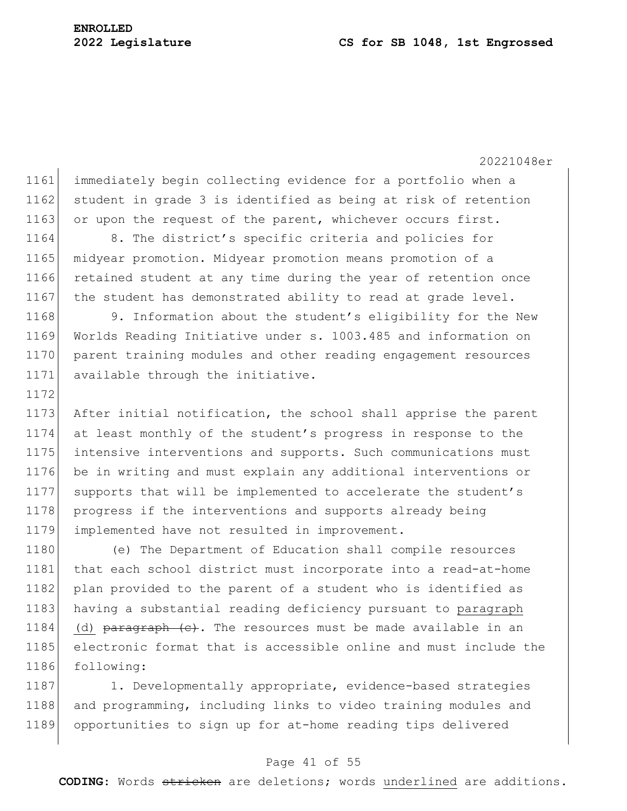20221048er 1161 immediately begin collecting evidence for a portfolio when a 1162 student in grade 3 is identified as being at risk of retention 1163 or upon the request of the parent, whichever occurs first. 1164 8. The district's specific criteria and policies for 1165 midyear promotion. Midyear promotion means promotion of a 1166 retained student at any time during the year of retention once 1167 the student has demonstrated ability to read at grade level. 1168 9. Information about the student's eligibility for the New 1169 Worlds Reading Initiative under s. 1003.485 and information on 1170 parent training modules and other reading engagement resources 1171 available through the initiative. 1172 1173 After initial notification, the school shall apprise the parent 1174 at least monthly of the student's progress in response to the 1175 intensive interventions and supports. Such communications must 1176 be in writing and must explain any additional interventions or 1177 supports that will be implemented to accelerate the student's 1178 progress if the interventions and supports already being 1179 implemented have not resulted in improvement. 1180 (e) The Department of Education shall compile resources

1181 that each school district must incorporate into a read-at-home 1182 plan provided to the parent of a student who is identified as 1183 having a substantial reading deficiency pursuant to paragraph 1184 (d)  $\beta$  paragraph  $\langle e \rangle$ . The resources must be made available in an 1185 electronic format that is accessible online and must include the 1186 following:

1187 1. Developmentally appropriate, evidence-based strategies 1188 and programming, including links to video training modules and 1189 opportunities to sign up for at-home reading tips delivered

#### Page 41 of 55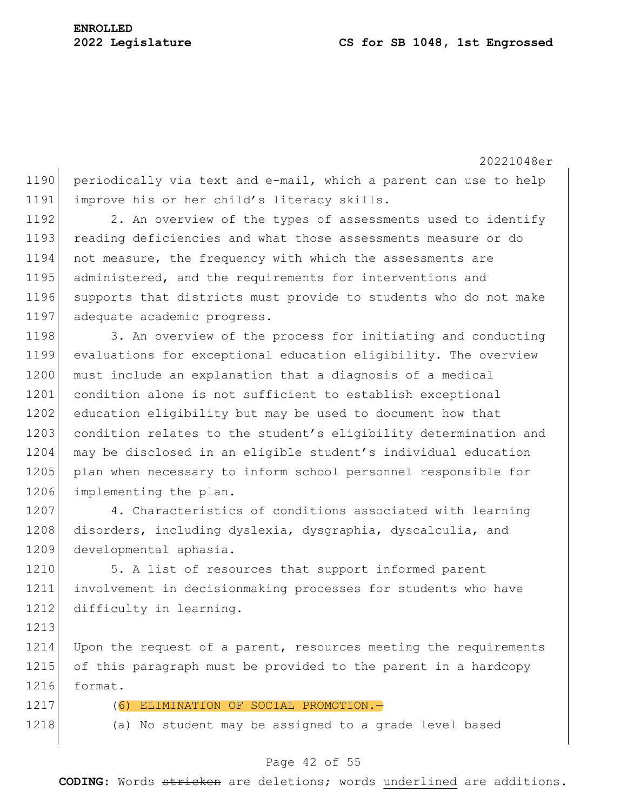1190 periodically via text and e-mail, which a parent can use to help 1191 improve his or her child's literacy skills.

1192 2. An overview of the types of assessments used to identify 1193 reading deficiencies and what those assessments measure or do 1194 not measure, the frequency with which the assessments are 1195 administered, and the requirements for interventions and 1196 supports that districts must provide to students who do not make 1197 adequate academic progress.

1198 3. An overview of the process for initiating and conducting 1199 evaluations for exceptional education eligibility. The overview 1200 must include an explanation that a diagnosis of a medical 1201 condition alone is not sufficient to establish exceptional 1202 education eligibility but may be used to document how that 1203 condition relates to the student's eligibility determination and 1204 may be disclosed in an eligible student's individual education 1205 plan when necessary to inform school personnel responsible for 1206 implementing the plan.

1207 4. Characteristics of conditions associated with learning 1208 disorders, including dyslexia, dysgraphia, dyscalculia, and 1209 developmental aphasia.

1210 5. A list of resources that support informed parent 1211 involvement in decisionmaking processes for students who have 1212 difficulty in learning.

1214 Upon the request of a parent, resources meeting the requirements 1215 of this paragraph must be provided to the parent in a hardcopy 1216 format.

1213

1217 (6) ELIMINATION OF SOCIAL PROMOTION.

1218 (a) No student may be assigned to a grade level based

## Page 42 of 55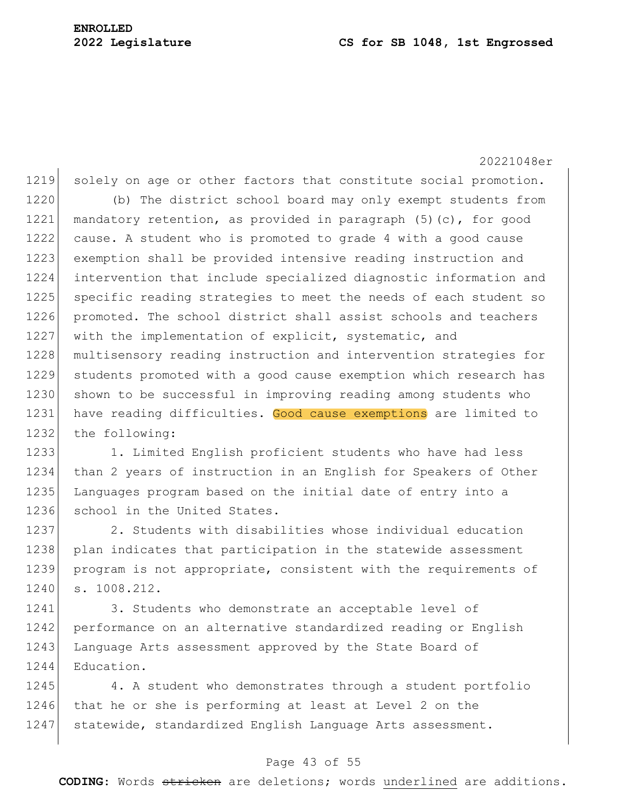20221048er 1219 solely on age or other factors that constitute social promotion. 1220 (b) The district school board may only exempt students from 1221 mandatory retention, as provided in paragraph (5)(c), for good 1222 cause. A student who is promoted to grade 4 with a good cause 1223 exemption shall be provided intensive reading instruction and 1224 intervention that include specialized diagnostic information and 1225 specific reading strategies to meet the needs of each student so 1226 promoted. The school district shall assist schools and teachers 1227 with the implementation of explicit, systematic, and 1228 multisensory reading instruction and intervention strategies for 1229 students promoted with a good cause exemption which research has 1230 shown to be successful in improving reading among students who 1231 have reading difficulties. Good cause exemptions are limited to 1232 the following:

1233 1. Limited English proficient students who have had less 1234 than 2 years of instruction in an English for Speakers of Other 1235 Languages program based on the initial date of entry into a 1236 school in the United States.

1237 2. Students with disabilities whose individual education 1238 plan indicates that participation in the statewide assessment 1239 program is not appropriate, consistent with the requirements of 1240 s. 1008.212.

1241 3. Students who demonstrate an acceptable level of 1242 performance on an alternative standardized reading or English 1243 Language Arts assessment approved by the State Board of 1244 Education.

1245 4. A student who demonstrates through a student portfolio 1246 that he or she is performing at least at Level 2 on the 1247 statewide, standardized English Language Arts assessment.

#### Page 43 of 55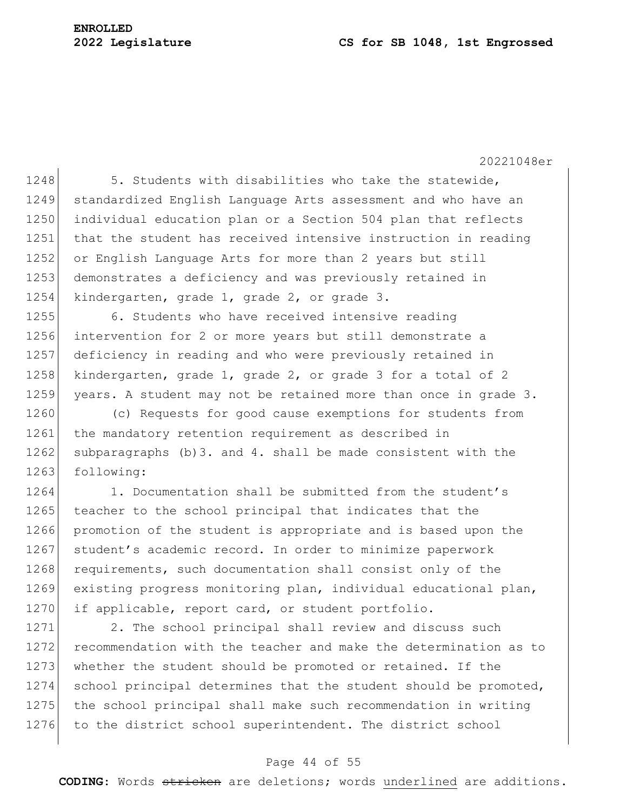# **ENROLLED**

# **2022 Legislature CS for SB 1048, 1st Engrossed**

20221048er

1248 5. Students with disabilities who take the statewide, 1249 standardized English Language Arts assessment and who have an 1250 individual education plan or a Section 504 plan that reflects 1251 that the student has received intensive instruction in reading 1252 or English Language Arts for more than 2 years but still 1253 demonstrates a deficiency and was previously retained in 1254 kindergarten, grade 1, grade 2, or grade 3.

1255 6. Students who have received intensive reading 1256 intervention for 2 or more years but still demonstrate a 1257 deficiency in reading and who were previously retained in 1258 kindergarten, grade 1, grade 2, or grade 3 for a total of 2 1259 years. A student may not be retained more than once in grade 3.

1260 (c) Requests for good cause exemptions for students from 1261 the mandatory retention requirement as described in 1262 subparagraphs (b) 3. and 4. shall be made consistent with the 1263 following:

 $1264$  1. Documentation shall be submitted from the student's 1265 teacher to the school principal that indicates that the 1266 promotion of the student is appropriate and is based upon the 1267 student's academic record. In order to minimize paperwork 1268 requirements, such documentation shall consist only of the 1269 existing progress monitoring plan, individual educational plan, 1270 if applicable, report card, or student portfolio.

1271 2. The school principal shall review and discuss such 1272 recommendation with the teacher and make the determination as to 1273 whether the student should be promoted or retained. If the 1274 school principal determines that the student should be promoted, 1275 the school principal shall make such recommendation in writing 1276 to the district school superintendent. The district school

#### Page 44 of 55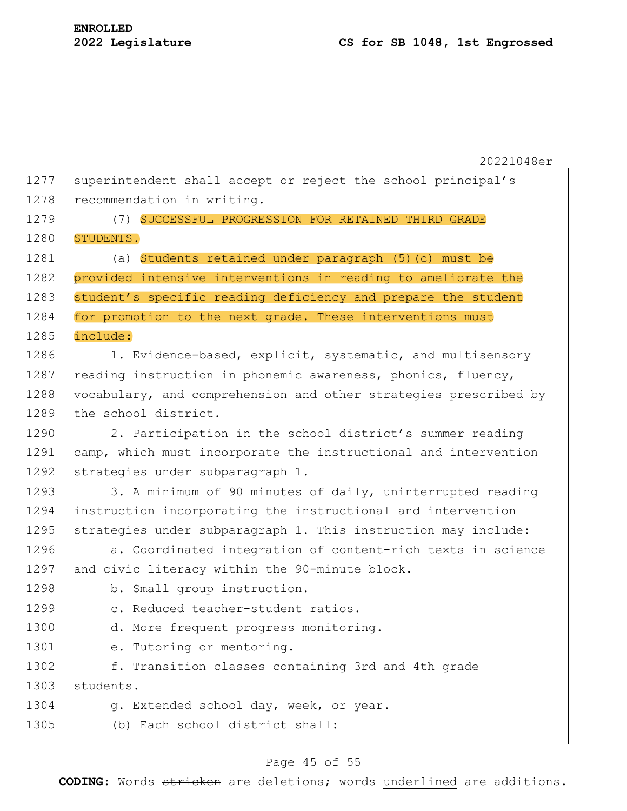1277 superintendent shall accept or reject the school principal's 1278 recommendation in writing.

1279 (7) SUCCESSFUL PROGRESSION FOR RETAINED THIRD GRADE 1280 STUDENTS.-

1281 (a) Students retained under paragraph (5)(c) must be 1282 provided intensive interventions in reading to ameliorate the 1283 student's specific reading deficiency and prepare the student 1284 for promotion to the next grade. These interventions must 1285 include:

1286 1. Evidence-based, explicit, systematic, and multisensory 1287 reading instruction in phonemic awareness, phonics, fluency, 1288 vocabulary, and comprehension and other strategies prescribed by 1289 the school district.

1290 2. Participation in the school district's summer reading 1291 camp, which must incorporate the instructional and intervention 1292 strategies under subparagraph 1.

1293 3. A minimum of 90 minutes of daily, uninterrupted reading 1294 instruction incorporating the instructional and intervention 1295 strategies under subparagraph 1. This instruction may include:

1296 **a.** Coordinated integration of content-rich texts in science 1297 and civic literacy within the 90-minute block.

1298 b. Small group instruction.

1299 c. Reduced teacher-student ratios.

1300 d. More frequent progress monitoring.

1301 e. Tutoring or mentoring.

1302 f. Transition classes containing 3rd and 4th grade 1303 students.

- 1304 g. Extended school day, week, or year.
- 1305 (b) Each school district shall:

# Page 45 of 55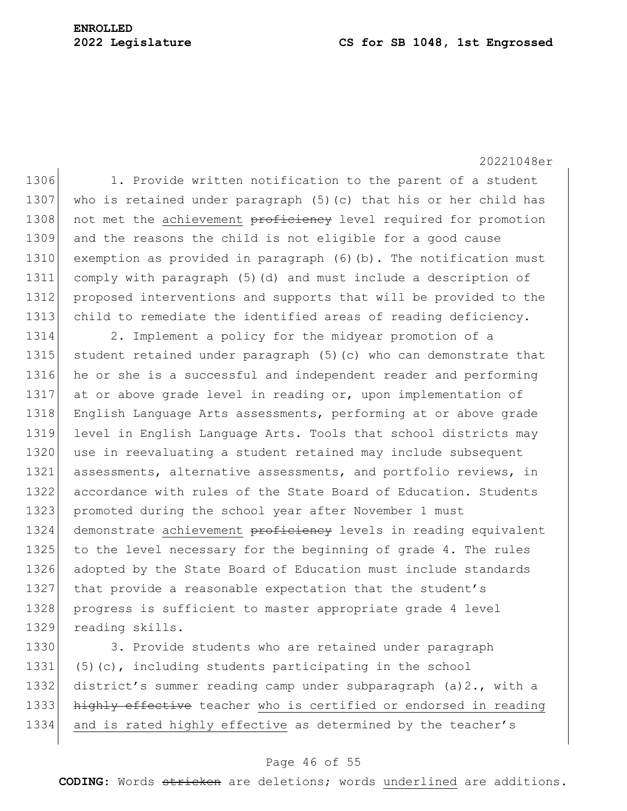20221048er 1306 1. Provide written notification to the parent of a student 1307 who is retained under paragraph (5) (c) that his or her child has 1308 not met the achievement proficiency level required for promotion 1309 and the reasons the child is not eligible for a good cause 1310 exemption as provided in paragraph (6)(b). The notification must 1311 comply with paragraph (5)(d) and must include a description of 1312 proposed interventions and supports that will be provided to the 1313 child to remediate the identified areas of reading deficiency. 1314 2. Implement a policy for the midyear promotion of a 1315 student retained under paragraph (5)(c) who can demonstrate that 1316 he or she is a successful and independent reader and performing 1317 at or above grade level in reading or, upon implementation of 1318 English Language Arts assessments, performing at or above grade 1319 level in English Language Arts. Tools that school districts may 1320 use in reevaluating a student retained may include subsequent 1321 assessments, alternative assessments, and portfolio reviews, in 1322 accordance with rules of the State Board of Education. Students 1323 promoted during the school year after November 1 must 1324 demonstrate achievement proficiency levels in reading equivalent 1325 to the level necessary for the beginning of grade 4. The rules 1326 adopted by the State Board of Education must include standards 1327 that provide a reasonable expectation that the student's 1328 progress is sufficient to master appropriate grade 4 level 1329 reading skills.

1330 3. Provide students who are retained under paragraph 1331  $(5)(c)$ , including students participating in the school 1332 district's summer reading camp under subparagraph  $(a)2$ ., with a 1333 highly effective teacher who is certified or endorsed in reading 1334 and is rated highly effective as determined by the teacher's

## Page 46 of 55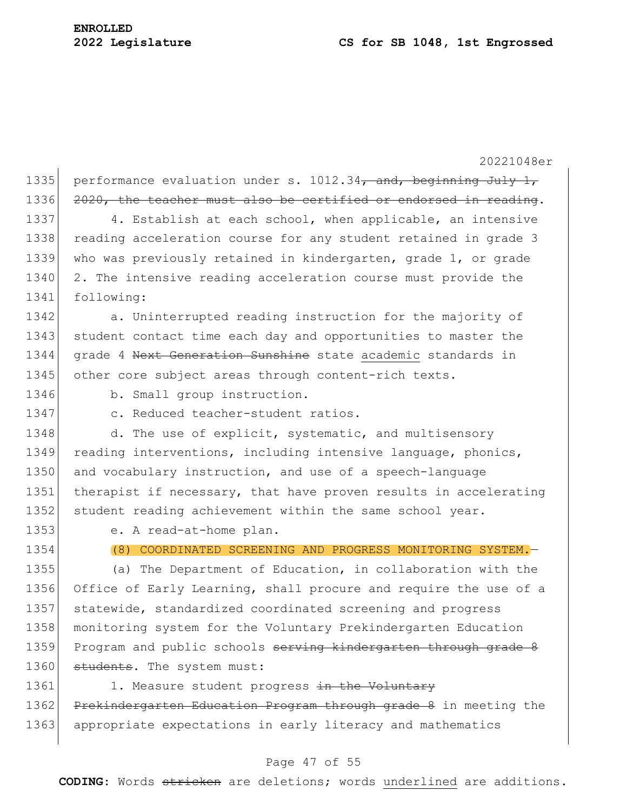20221048er 1335 performance evaluation under s. 1012.34, and, beginning July 1, 1336 2020, the teacher must also be certified or endorsed in reading. 1337 4. Establish at each school, when applicable, an intensive 1338 reading acceleration course for any student retained in grade 3 1339 who was previously retained in kindergarten, grade 1, or grade 1340 2. The intensive reading acceleration course must provide the 1341 following: 1342 a. Uninterrupted reading instruction for the majority of 1343 student contact time each day and opportunities to master the 1344 grade 4 Next Generation Sunshine state academic standards in 1345 other core subject areas through content-rich texts. 1346 b. Small group instruction. 1347 c. Reduced teacher-student ratios. 1348 d. The use of explicit, systematic, and multisensory 1349 reading interventions, including intensive language, phonics, 1350 and vocabulary instruction, and use of a speech-language 1351 therapist if necessary, that have proven results in accelerating 1352 student reading achievement within the same school year. 1353 e. A read-at-home plan. 1354 (8) COORDINATED SCREENING AND PROGRESS MONITORING SYSTEM.— 1355 (a) The Department of Education, in collaboration with the 1356 Office of Early Learning, shall procure and require the use of a 1357 statewide, standardized coordinated screening and progress 1358 monitoring system for the Voluntary Prekindergarten Education 1359 Program and public schools serving kindergarten through grade 8 1360 students. The system must: 1361 1. Measure student progress in the Voluntary

1362 Prekindergarten Education Program through grade 8 in meeting the 1363 appropriate expectations in early literacy and mathematics

## Page 47 of 55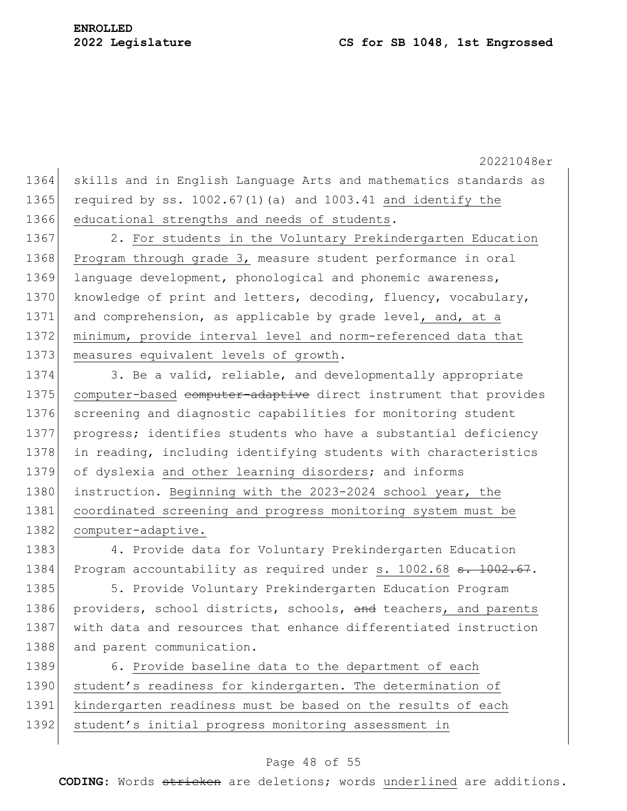20221048er 1364 skills and in English Language Arts and mathematics standards as 1365 required by ss. 1002.67(1)(a) and 1003.41 and identify the 1366 educational strengths and needs of students. 1367 2. For students in the Voluntary Prekindergarten Education 1368 Program through grade 3, measure student performance in oral 1369 language development, phonological and phonemic awareness, 1370 knowledge of print and letters, decoding, fluency, vocabulary, 1371 and comprehension, as applicable by grade level, and, at a 1372 minimum, provide interval level and norm-referenced data that 1373 measures equivalent levels of growth. 1374 3. Be a valid, reliable, and developmentally appropriate 1375 computer-based computer-adaptive direct instrument that provides 1376 screening and diagnostic capabilities for monitoring student 1377 progress; identifies students who have a substantial deficiency 1378 in reading, including identifying students with characteristics 1379 of dyslexia and other learning disorders; and informs 1380 instruction. Beginning with the 2023-2024 school year, the 1381 coordinated screening and progress monitoring system must be

1382 computer-adaptive.

1383 4. Provide data for Voluntary Prekindergarten Education 1384 Program accountability as required under s. 1002.68 s. 1002.67.

1385 5. Provide Voluntary Prekindergarten Education Program 1386 providers, school districts, schools, and teachers, and parents 1387 with data and resources that enhance differentiated instruction 1388 and parent communication.

1389 6. Provide baseline data to the department of each 1390 student's readiness for kindergarten. The determination of 1391 kindergarten readiness must be based on the results of each 1392 student's initial progress monitoring assessment in

#### Page 48 of 55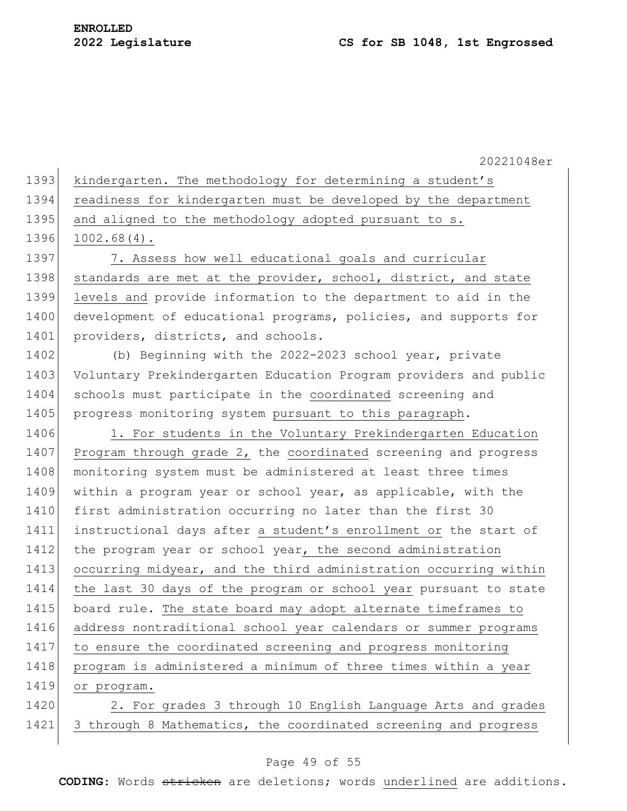| 1393 kindergarten. The methodology for determining a student's |  |  |  |
|----------------------------------------------------------------|--|--|--|

1394 readiness for kindergarten must be developed by the department

1395 and aligned to the methodology adopted pursuant to s.

1396 1002.68(4).

1397 7. Assess how well educational goals and curricular 1398 standards are met at the provider, school, district, and state 1399 levels and provide information to the department to aid in the 1400 development of educational programs, policies, and supports for 1401 providers, districts, and schools.

1402 (b) Beginning with the 2022-2023 school year, private 1403 Voluntary Prekindergarten Education Program providers and public 1404 schools must participate in the coordinated screening and 1405 progress monitoring system pursuant to this paragraph.

1406 1. For students in the Voluntary Prekindergarten Education 1407 Program through grade 2, the coordinated screening and progress 1408 monitoring system must be administered at least three times 1409 within a program year or school year, as applicable, with the 1410 first administration occurring no later than the first 30 1411 instructional days after a student's enrollment or the start of 1412 the program year or school year, the second administration 1413 occurring midyear, and the third administration occurring within 1414 the last 30 days of the program or school year pursuant to state 1415 board rule. The state board may adopt alternate timeframes to 1416 address nontraditional school year calendars or summer programs 1417 to ensure the coordinated screening and progress monitoring 1418 program is administered a minimum of three times within a year 1419 or program.

1420 2. For grades 3 through 10 English Language Arts and grades 1421 3 through 8 Mathematics, the coordinated screening and progress

#### Page 49 of 55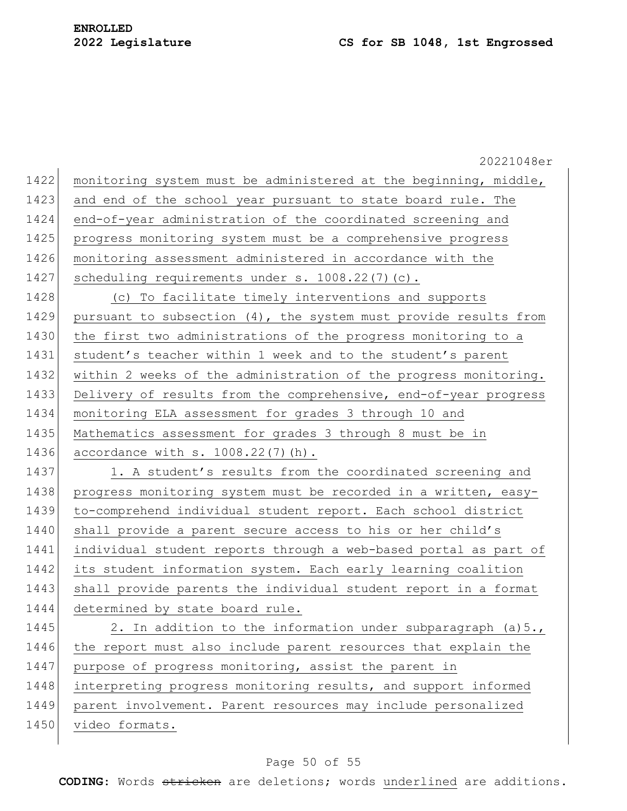20221048er 1422 monitoring system must be administered at the beginning, middle, 1423 and end of the school year pursuant to state board rule. The 1424 end-of-year administration of the coordinated screening and 1425 progress monitoring system must be a comprehensive progress 1426 monitoring assessment administered in accordance with the 1427 scheduling requirements under s. 1008.22(7)(c). 1428 (c) To facilitate timely interventions and supports 1429 pursuant to subsection (4), the system must provide results from 1430 the first two administrations of the progress monitoring to a 1431 student's teacher within 1 week and to the student's parent 1432 within 2 weeks of the administration of the progress monitoring. 1433 Delivery of results from the comprehensive, end-of-year progress 1434 monitoring ELA assessment for grades 3 through 10 and 1435 Mathematics assessment for grades 3 through 8 must be in 1436 accordance with s. 1008.22(7)(h). 1437 1. A student's results from the coordinated screening and 1438 progress monitoring system must be recorded in a written, easy-1439 to-comprehend individual student report. Each school district 1440 shall provide a parent secure access to his or her child's 1441 individual student reports through a web-based portal as part of 1442 its student information system. Each early learning coalition 1443 shall provide parents the individual student report in a format 1444 determined by state board rule. 1445 2. In addition to the information under subparagraph (a)5., 1446 the report must also include parent resources that explain the 1447 purpose of progress monitoring, assist the parent in 1448 interpreting progress monitoring results, and support informed 1449 parent involvement. Parent resources may include personalized 1450 video formats.

# Page 50 of 55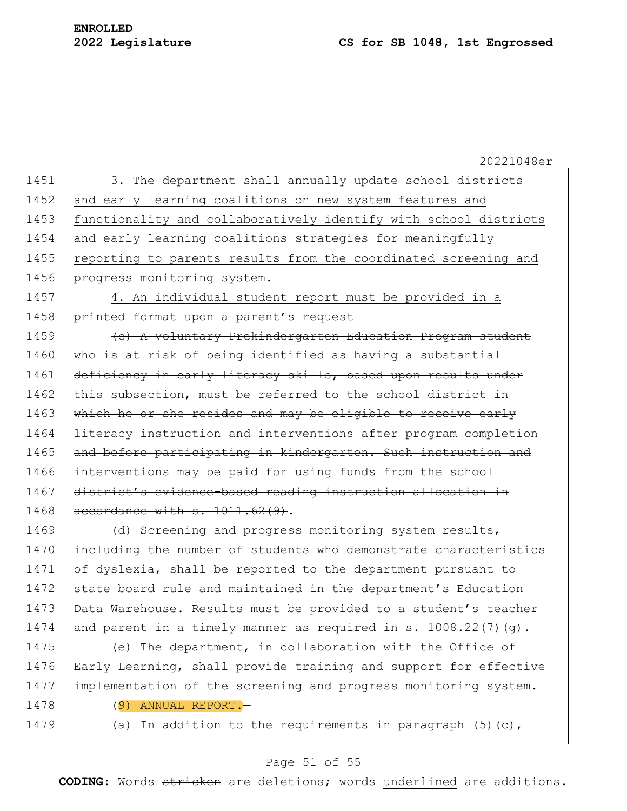20221048er 1451 3. The department shall annually update school districts 1452 and early learning coalitions on new system features and 1453 functionality and collaboratively identify with school districts 1454 and early learning coalitions strategies for meaningfully 1455 reporting to parents results from the coordinated screening and 1456 progress monitoring system. 1457 4. An individual student report must be provided in a 1458 printed format upon a parent's request 1459 **(c)** A Voluntary Prekindergarten Education Program student 1460 who is at risk of being identified as having a substantial 1461 deficiency in early literacy skills, based upon results under 1462 this subsection, must be referred to the school district in 1463 which he or she resides and may be eligible to receive early 1464 literacy instruction and interventions after program completion 1465 and before participating in kindergarten. Such instruction and 1466 interventions may be paid for using funds from the school 1467 district's evidence-based reading instruction allocation in 1468 accordance with s. 1011.62(9). 1469 (d) Screening and progress monitoring system results, 1470 including the number of students who demonstrate characteristics 1471 of dyslexia, shall be reported to the department pursuant to 1472 state board rule and maintained in the department's Education 1473 Data Warehouse. Results must be provided to a student's teacher 1474 and parent in a timely manner as required in s. 1008.22(7)(g). 1475 (e) The department, in collaboration with the Office of 1476 Early Learning, shall provide training and support for effective 1477 implementation of the screening and progress monitoring system.

- 1478 (9) ANNUAL REPORT.—
	-

1479 (a) In addition to the requirements in paragraph  $(5)(c)$ ,

# Page 51 of 55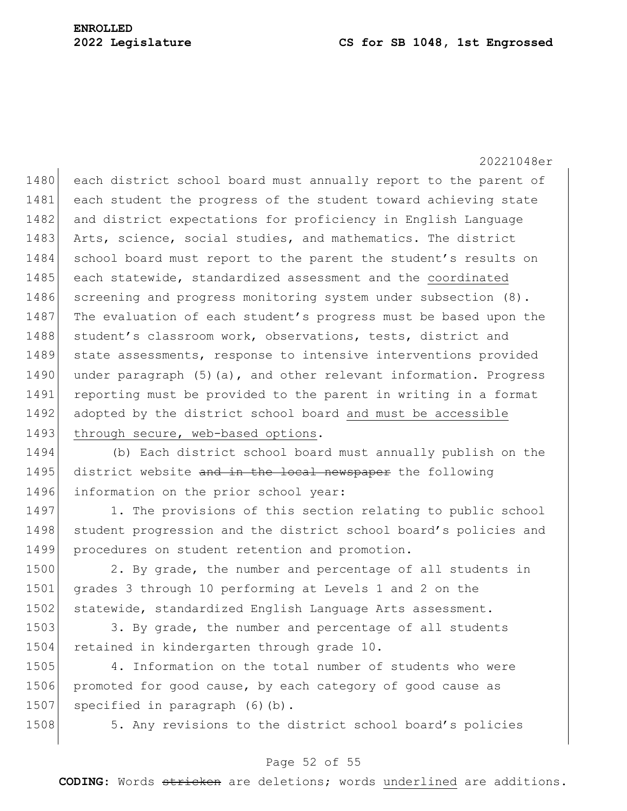20221048er 1480 each district school board must annually report to the parent of 1481 each student the progress of the student toward achieving state 1482 and district expectations for proficiency in English Language 1483 Arts, science, social studies, and mathematics. The district 1484 school board must report to the parent the student's results on 1485 each statewide, standardized assessment and the coordinated 1486 screening and progress monitoring system under subsection  $(8)$ . 1487 The evaluation of each student's progress must be based upon the 1488 student's classroom work, observations, tests, district and 1489 state assessments, response to intensive interventions provided 1490 under paragraph (5)(a), and other relevant information. Progress 1491 reporting must be provided to the parent in writing in a format 1492 adopted by the district school board and must be accessible 1493 through secure, web-based options.

1494 (b) Each district school board must annually publish on the 1495 district website and in the local newspaper the following 1496 information on the prior school year:

1497 1. The provisions of this section relating to public school 1498 student progression and the district school board's policies and 1499 procedures on student retention and promotion.

1500 2. By grade, the number and percentage of all students in 1501 grades 3 through 10 performing at Levels 1 and 2 on the 1502 statewide, standardized English Language Arts assessment.

1503 3. By grade, the number and percentage of all students 1504 retained in kindergarten through grade 10.

1505 4. Information on the total number of students who were 1506 promoted for good cause, by each category of good cause as 1507 specified in paragraph (6)(b).

1508 5. Any revisions to the district school board's policies

# Page 52 of 55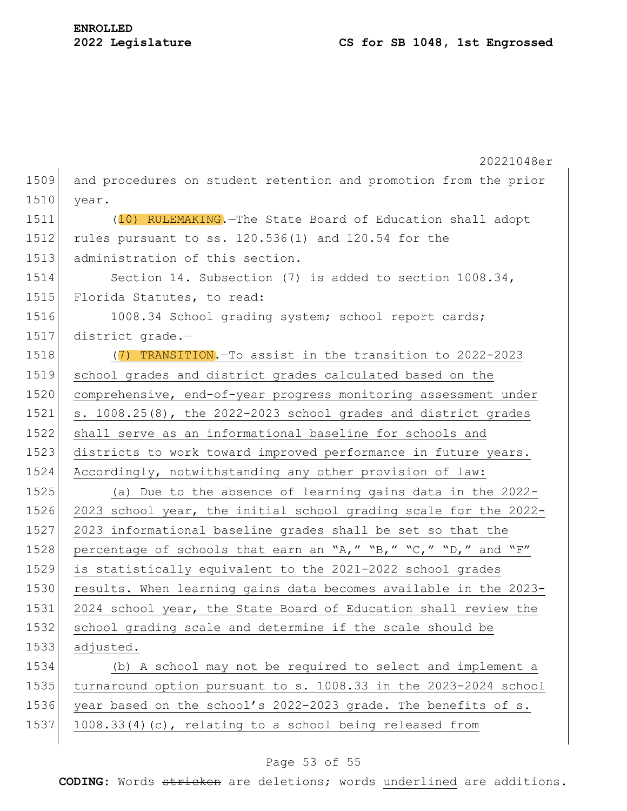|      | 20221048er                                                       |  |  |  |  |
|------|------------------------------------------------------------------|--|--|--|--|
| 1509 | and procedures on student retention and promotion from the prior |  |  |  |  |
| 1510 | year.                                                            |  |  |  |  |
| 1511 | (10) RULEMAKING. - The State Board of Education shall adopt      |  |  |  |  |
| 1512 | rules pursuant to ss. 120.536(1) and 120.54 for the              |  |  |  |  |
| 1513 | administration of this section.                                  |  |  |  |  |
| 1514 | Section 14. Subsection (7) is added to section 1008.34,          |  |  |  |  |
| 1515 | Florida Statutes, to read:                                       |  |  |  |  |
| 1516 | 1008.34 School grading system; school report cards;              |  |  |  |  |
| 1517 | district grade.-                                                 |  |  |  |  |
| 1518 | (7) TRANSITION. To assist in the transition to 2022-2023         |  |  |  |  |
| 1519 | school grades and district grades calculated based on the        |  |  |  |  |
| 1520 | comprehensive, end-of-year progress monitoring assessment under  |  |  |  |  |
| 1521 | s. 1008.25(8), the 2022-2023 school grades and district grades   |  |  |  |  |
| 1522 | shall serve as an informational baseline for schools and         |  |  |  |  |
| 1523 | districts to work toward improved performance in future years.   |  |  |  |  |
| 1524 | Accordingly, notwithstanding any other provision of law:         |  |  |  |  |
| 1525 | (a) Due to the absence of learning gains data in the 2022-       |  |  |  |  |
| 1526 | 2023 school year, the initial school grading scale for the 2022- |  |  |  |  |
| 1527 | 2023 informational baseline grades shall be set so that the      |  |  |  |  |
| 1528 | percentage of schools that earn an "A," "B," "C," "D," and "F"   |  |  |  |  |
| 1529 | is statistically equivalent to the 2021-2022 school grades       |  |  |  |  |
| 1530 | results. When learning gains data becomes available in the 2023- |  |  |  |  |
| 1531 | 2024 school year, the State Board of Education shall review the  |  |  |  |  |
| 1532 | school grading scale and determine if the scale should be        |  |  |  |  |
| 1533 | adjusted.                                                        |  |  |  |  |
| 1534 | (b) A school may not be required to select and implement a       |  |  |  |  |
| 1535 | turnaround option pursuant to s. 1008.33 in the 2023-2024 school |  |  |  |  |
| 1536 | year based on the school's 2022-2023 grade. The benefits of s.   |  |  |  |  |
| 1537 | 1008.33(4)(c), relating to a school being released from          |  |  |  |  |

# Page 53 of 55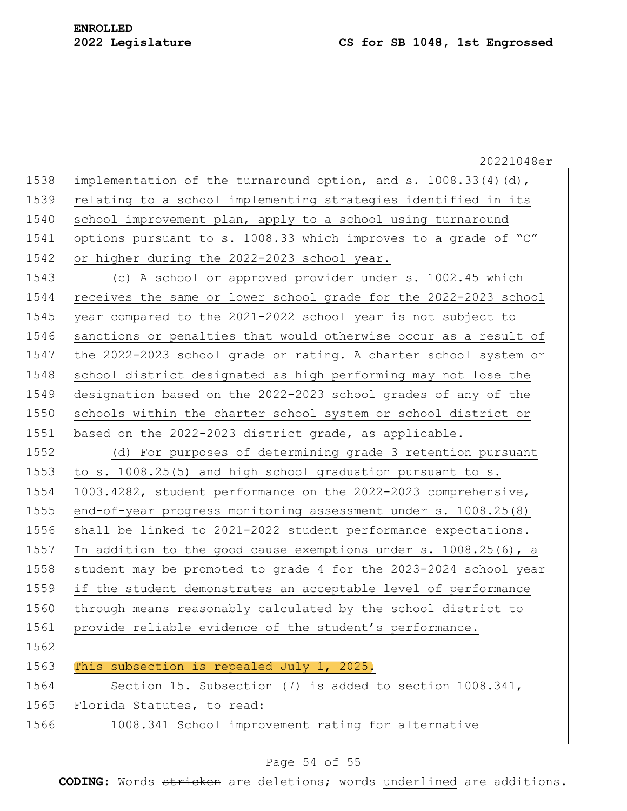|      | 20221048er                                                         |
|------|--------------------------------------------------------------------|
| 1538 | implementation of the turnaround option, and s. $1008.33(4)(d)$ ,  |
| 1539 | relating to a school implementing strategies identified in its     |
| 1540 | school improvement plan, apply to a school using turnaround        |
| 1541 | options pursuant to s. 1008.33 which improves to a grade of "C"    |
| 1542 | or higher during the 2022-2023 school year.                        |
| 1543 | (c) A school or approved provider under s. 1002.45 which           |
| 1544 | receives the same or lower school grade for the 2022-2023 school   |
| 1545 | year compared to the 2021-2022 school year is not subject to       |
| 1546 | sanctions or penalties that would otherwise occur as a result of   |
| 1547 | the 2022-2023 school grade or rating. A charter school system or   |
| 1548 | school district designated as high performing may not lose the     |
| 1549 | designation based on the 2022-2023 school grades of any of the     |
| 1550 | schools within the charter school system or school district or     |
| 1551 | based on the 2022-2023 district grade, as applicable.              |
| 1552 | (d) For purposes of determining grade 3 retention pursuant         |
| 1553 | to s. 1008.25(5) and high school graduation pursuant to s.         |
| 1554 | 1003.4282, student performance on the 2022-2023 comprehensive,     |
| 1555 | end-of-year progress monitoring assessment under s. 1008.25(8)     |
| 1556 | shall be linked to 2021-2022 student performance expectations.     |
| 1557 | In addition to the good cause exemptions under s. $1008.25(6)$ , a |
| 1558 | student may be promoted to grade 4 for the 2023-2024 school year   |
| 1559 | if the student demonstrates an acceptable level of performance     |
| 1560 | through means reasonably calculated by the school district to      |
| 1561 | provide reliable evidence of the student's performance.            |
| 1562 |                                                                    |
| 1563 | This subsection is repealed July 1, 2025.                          |
| 1564 | Section 15. Subsection (7) is added to section 1008.341,           |
| 1565 | Florida Statutes, to read:                                         |
| 1566 | 1008.341 School improvement rating for alternative                 |
|      |                                                                    |

# Page 54 of 55